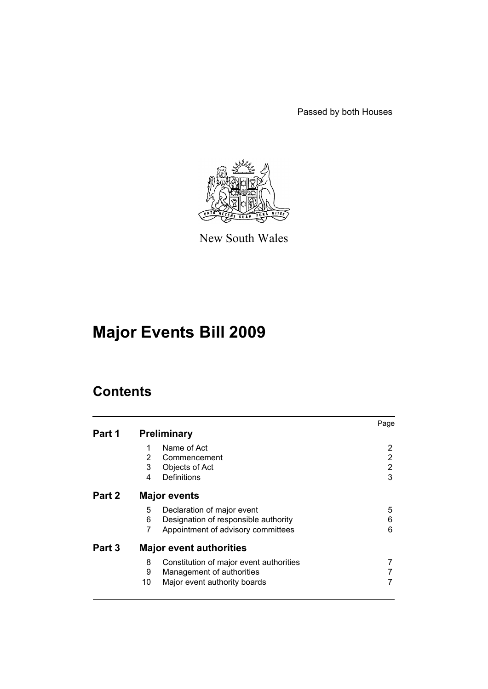Passed by both Houses



New South Wales

# **Major Events Bill 2009**

|        |    |                                         | Page |
|--------|----|-----------------------------------------|------|
| Part 1 |    | <b>Preliminary</b>                      |      |
|        |    | Name of Act                             | 2    |
|        | 2  | Commencement                            | 2    |
|        | 3  | Objects of Act                          | 2    |
|        | 4  | Definitions                             | 3    |
| Part 2 |    | <b>Major events</b>                     |      |
|        | 5  | Declaration of major event              | 5    |
|        | 6  | Designation of responsible authority    | 6    |
|        | 7  | Appointment of advisory committees      | 6    |
| Part 3 |    | <b>Major event authorities</b>          |      |
|        | 8  | Constitution of major event authorities |      |
|        | 9  | Management of authorities               |      |
|        | 10 | Major event authority boards            |      |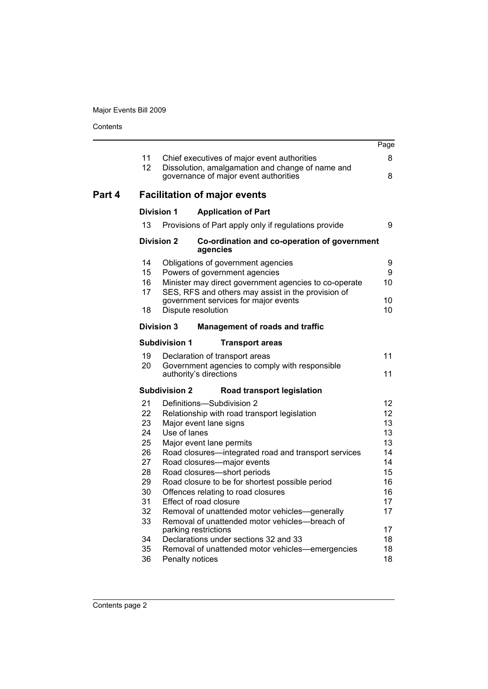|        |          |                      |                                                                                           | Page     |
|--------|----------|----------------------|-------------------------------------------------------------------------------------------|----------|
|        | 11       |                      | Chief executives of major event authorities                                               | 8        |
|        | 12       |                      | Dissolution, amalgamation and change of name and<br>governance of major event authorities | 8        |
| Part 4 |          |                      | <b>Facilitation of major events</b>                                                       |          |
|        |          | <b>Division 1</b>    | <b>Application of Part</b>                                                                |          |
|        | 13       |                      | Provisions of Part apply only if regulations provide                                      | 9        |
|        |          | <b>Division 2</b>    | Co-ordination and co-operation of government<br>agencies                                  |          |
|        | 14       |                      | Obligations of government agencies                                                        | 9        |
|        | 15<br>16 |                      | Powers of government agencies<br>Minister may direct government agencies to co-operate    | 9<br>10  |
|        | 17       |                      | SES, RFS and others may assist in the provision of                                        |          |
|        | 18       |                      | government services for major events<br>Dispute resolution                                | 10<br>10 |
|        |          | <b>Division 3</b>    | <b>Management of roads and traffic</b>                                                    |          |
|        |          | <b>Subdivision 1</b> | <b>Transport areas</b>                                                                    |          |
|        | 19       |                      | Declaration of transport areas                                                            | 11       |
|        | 20       |                      | Government agencies to comply with responsible<br>authority's directions                  | 11       |
|        |          | <b>Subdivision 2</b> | Road transport legislation                                                                |          |
|        | 21       |                      | Definitions-Subdivision 2                                                                 | 12       |
|        | 22       |                      | Relationship with road transport legislation                                              | 12       |
|        | 23<br>24 | Use of lanes         | Major event lane signs                                                                    | 13<br>13 |
|        | 25       |                      | Major event lane permits                                                                  | 13       |
|        | 26       |                      | Road closures-integrated road and transport services                                      | 14       |
|        | 27       |                      | Road closures-major events                                                                | 14       |
|        | 28       |                      | Road closures-short periods                                                               | 15       |
|        | 29<br>30 |                      | Road closure to be for shortest possible period<br>Offences relating to road closures     | 16<br>16 |
|        | 31       |                      | Effect of road closure                                                                    | 17       |
|        | 32       |                      | Removal of unattended motor vehicles-generally                                            | 17       |
|        | 33       |                      | Removal of unattended motor vehicles-breach of                                            |          |
|        | 34       |                      | parking restrictions<br>Declarations under sections 32 and 33                             | 17<br>18 |
|        | 35       |                      | Removal of unattended motor vehicles—emergencies                                          | 18       |
|        | 36       | Penalty notices      |                                                                                           | 18       |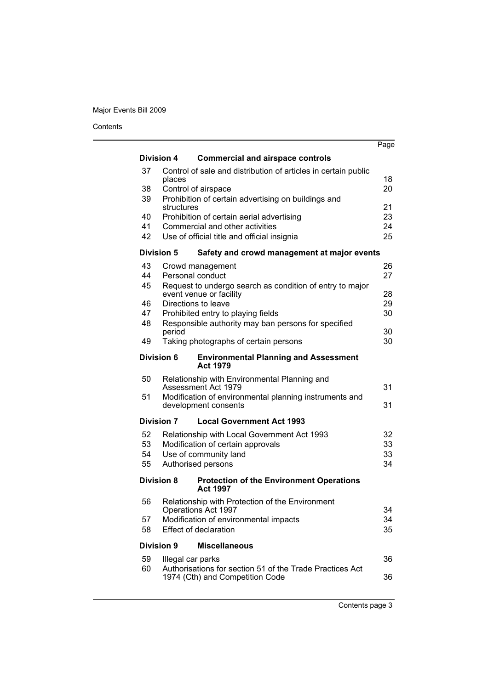|    |                   |                                                                                     | Page |
|----|-------------------|-------------------------------------------------------------------------------------|------|
|    | <b>Division 4</b> | <b>Commercial and airspace controls</b>                                             |      |
| 37 | places            | Control of sale and distribution of articles in certain public                      | 18   |
| 38 |                   | Control of airspace                                                                 | 20   |
| 39 | structures        | Prohibition of certain advertising on buildings and                                 | 21   |
| 40 |                   | Prohibition of certain aerial advertising                                           | 23   |
| 41 |                   | Commercial and other activities                                                     | 24   |
| 42 |                   | Use of official title and official insignia                                         | 25   |
|    | <b>Division 5</b> | Safety and crowd management at major events                                         |      |
| 43 |                   | Crowd management                                                                    | 26   |
| 44 |                   | Personal conduct                                                                    | 27   |
| 45 |                   | Request to undergo search as condition of entry to major<br>event venue or facility | 28   |
| 46 |                   | Directions to leave                                                                 | 29   |
| 47 |                   | Prohibited entry to playing fields                                                  | 30   |
| 48 |                   | Responsible authority may ban persons for specified                                 |      |
|    | period            |                                                                                     | 30   |
| 49 |                   | Taking photographs of certain persons                                               | 30   |
|    | Division 6        | <b>Environmental Planning and Assessment</b><br><b>Act 1979</b>                     |      |
| 50 |                   | Relationship with Environmental Planning and<br>Assessment Act 1979                 | 31   |
| 51 |                   | Modification of environmental planning instruments and<br>development consents      | 31   |
|    | <b>Division 7</b> | <b>Local Government Act 1993</b>                                                    |      |
| 52 |                   | Relationship with Local Government Act 1993                                         | 32   |
| 53 |                   | Modification of certain approvals                                                   | 33   |
| 54 |                   | Use of community land                                                               | 33   |
| 55 |                   | Authorised persons                                                                  | 34   |
|    | <b>Division 8</b> | <b>Protection of the Environment Operations</b><br><b>Act 1997</b>                  |      |
| 56 |                   | Relationship with Protection of the Environment<br>Operations Act 1997              | 34   |
| 57 |                   | Modification of environmental impacts                                               | 34   |
| 58 |                   | <b>Effect of declaration</b>                                                        | 35   |
|    | <b>Division 9</b> | <b>Miscellaneous</b>                                                                |      |
| 59 |                   | Illegal car parks                                                                   | 36   |
| 60 |                   | Authorisations for section 51 of the Trade Practices Act                            |      |
|    |                   | 1974 (Cth) and Competition Code                                                     | 36   |
|    |                   |                                                                                     |      |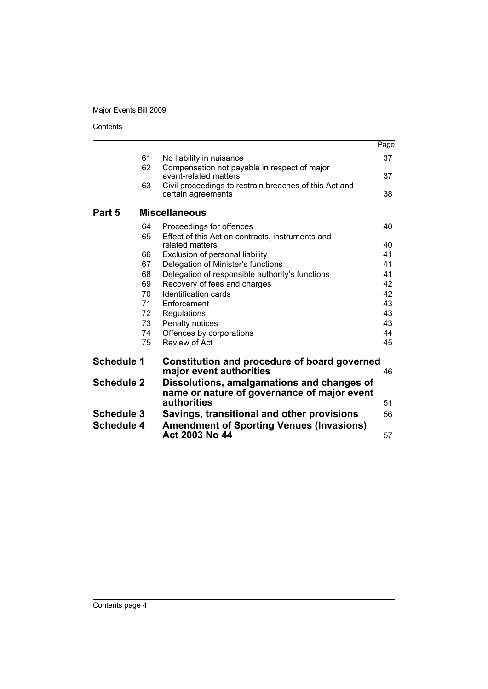|                   |          |                                                                              | Page     |
|-------------------|----------|------------------------------------------------------------------------------|----------|
|                   | 61       | No liability in nuisance                                                     | 37       |
|                   | 62       | Compensation not payable in respect of major                                 |          |
|                   |          | event-related matters                                                        | 37       |
|                   | 63       | Civil proceedings to restrain breaches of this Act and<br>certain agreements | 38       |
| Part 5            |          | <b>Miscellaneous</b>                                                         |          |
|                   | 64       | Proceedings for offences                                                     | 40       |
|                   | 65       | Effect of this Act on contracts, instruments and                             |          |
|                   |          | related matters                                                              | 40       |
|                   | 66       | Exclusion of personal liability                                              | 41       |
|                   | 67       | Delegation of Minister's functions                                           | 41       |
|                   | 68       | Delegation of responsible authority's functions                              | 41       |
|                   | 69       | Recovery of fees and charges                                                 | 42       |
|                   | 70       | <b>Identification cards</b>                                                  | 42       |
|                   | 71       | Enforcement                                                                  | 43       |
|                   | 72       | Regulations                                                                  | 43       |
|                   | 73       | Penalty notices                                                              | 43       |
|                   | 74<br>75 | Offences by corporations<br>Review of Act                                    | 44<br>45 |
|                   |          |                                                                              |          |
| <b>Schedule 1</b> |          | Constitution and procedure of board governed<br>major event authorities      | 46       |
| <b>Schedule 2</b> |          | Dissolutions, amalgamations and changes of                                   |          |
|                   |          | name or nature of governance of major event                                  |          |
|                   |          | authorities                                                                  | 51       |
| <b>Schedule 3</b> |          | Savings, transitional and other provisions                                   | 56       |
| <b>Schedule 4</b> |          | <b>Amendment of Sporting Venues (Invasions)</b>                              |          |
|                   |          | Act 2003 No 44                                                               | 57       |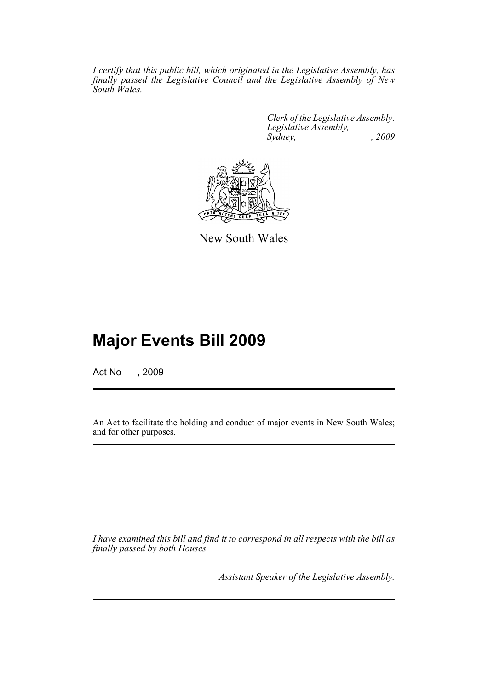*I certify that this public bill, which originated in the Legislative Assembly, has finally passed the Legislative Council and the Legislative Assembly of New South Wales.*

> *Clerk of the Legislative Assembly. Legislative Assembly, Sydney, , 2009*



New South Wales

## **Major Events Bill 2009**

Act No , 2009

An Act to facilitate the holding and conduct of major events in New South Wales; and for other purposes.

*I have examined this bill and find it to correspond in all respects with the bill as finally passed by both Houses.*

*Assistant Speaker of the Legislative Assembly.*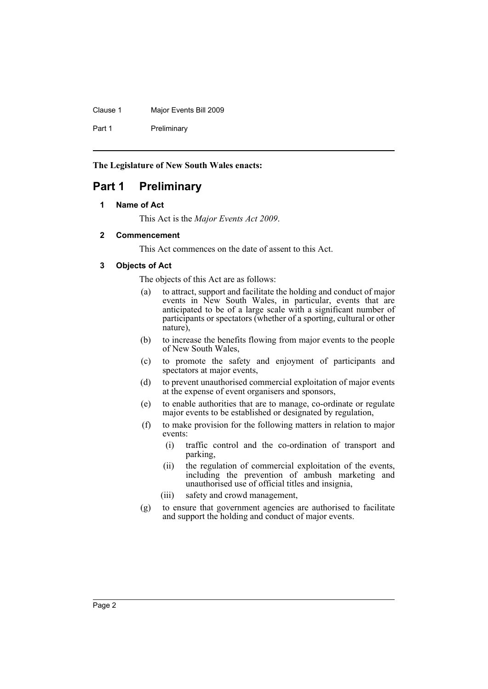Clause 1 Major Events Bill 2009

Part 1 Preliminary

**The Legislature of New South Wales enacts:**

### <span id="page-5-1"></span><span id="page-5-0"></span>**Part 1 Preliminary**

### **1 Name of Act**

This Act is the *Major Events Act 2009*.

### <span id="page-5-2"></span>**2 Commencement**

This Act commences on the date of assent to this Act.

### <span id="page-5-3"></span>**3 Objects of Act**

The objects of this Act are as follows:

- (a) to attract, support and facilitate the holding and conduct of major events in New South Wales, in particular, events that are anticipated to be of a large scale with a significant number of participants or spectators (whether of a sporting, cultural or other nature),
- (b) to increase the benefits flowing from major events to the people of New South Wales,
- (c) to promote the safety and enjoyment of participants and spectators at major events,
- (d) to prevent unauthorised commercial exploitation of major events at the expense of event organisers and sponsors,
- (e) to enable authorities that are to manage, co-ordinate or regulate major events to be established or designated by regulation,
- (f) to make provision for the following matters in relation to major events:
	- (i) traffic control and the co-ordination of transport and parking,
	- (ii) the regulation of commercial exploitation of the events, including the prevention of ambush marketing and unauthorised use of official titles and insignia,
	- (iii) safety and crowd management,
- (g) to ensure that government agencies are authorised to facilitate and support the holding and conduct of major events.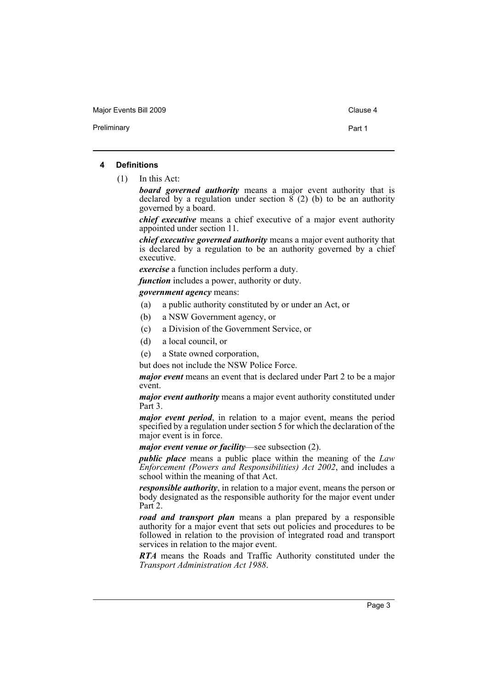Major Events Bill 2009 Clause 4

Preliminary **Preliminary** Part 1

#### <span id="page-6-0"></span>**4 Definitions**

(1) In this Act:

*board governed authority* means a major event authority that is declared by a regulation under section  $\vec{8}$  (2) (b) to be an authority governed by a board.

*chief executive* means a chief executive of a major event authority appointed under section 11.

*chief executive governed authority* means a major event authority that is declared by a regulation to be an authority governed by a chief executive.

*exercise* a function includes perform a duty.

*function* includes a power, authority or duty.

#### *government agency* means:

- (a) a public authority constituted by or under an Act, or
- (b) a NSW Government agency, or
- (c) a Division of the Government Service, or
- (d) a local council, or
- (e) a State owned corporation,

but does not include the NSW Police Force.

*major event* means an event that is declared under Part 2 to be a major event.

*major event authority* means a major event authority constituted under Part 3.

*major event period*, in relation to a major event, means the period specified by a regulation under section 5 for which the declaration of the major event is in force.

*major event venue or facility*—see subsection (2).

*public place* means a public place within the meaning of the *Law Enforcement (Powers and Responsibilities) Act 2002*, and includes a school within the meaning of that Act.

*responsible authority*, in relation to a major event, means the person or body designated as the responsible authority for the major event under Part 2.

*road and transport plan* means a plan prepared by a responsible authority for a major event that sets out policies and procedures to be followed in relation to the provision of integrated road and transport services in relation to the major event.

*RTA* means the Roads and Traffic Authority constituted under the *Transport Administration Act 1988*.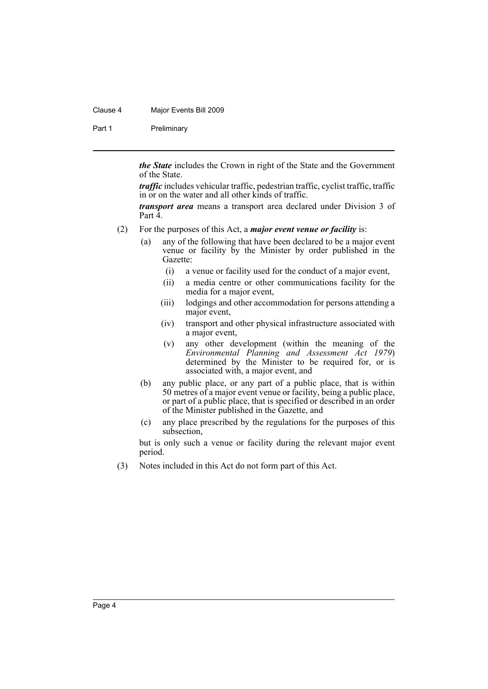#### Clause 4 Major Events Bill 2009

Part 1 Preliminary

*the State* includes the Crown in right of the State and the Government of the State.

*traffic* includes vehicular traffic, pedestrian traffic, cyclist traffic, traffic in or on the water and all other kinds of traffic.

*transport area* means a transport area declared under Division 3 of Part 4.

- (2) For the purposes of this Act, a *major event venue or facility* is:
	- (a) any of the following that have been declared to be a major event venue or facility by the Minister by order published in the Gazette:
		- (i) a venue or facility used for the conduct of a major event,
		- (ii) a media centre or other communications facility for the media for a major event,
		- (iii) lodgings and other accommodation for persons attending a major event,
		- (iv) transport and other physical infrastructure associated with a major event,
		- (v) any other development (within the meaning of the *Environmental Planning and Assessment Act 1979*) determined by the Minister to be required for, or is associated with, a major event, and
	- (b) any public place, or any part of a public place, that is within 50 metres of a major event venue or facility, being a public place, or part of a public place, that is specified or described in an order of the Minister published in the Gazette, and
	- (c) any place prescribed by the regulations for the purposes of this subsection,

but is only such a venue or facility during the relevant major event period.

(3) Notes included in this Act do not form part of this Act.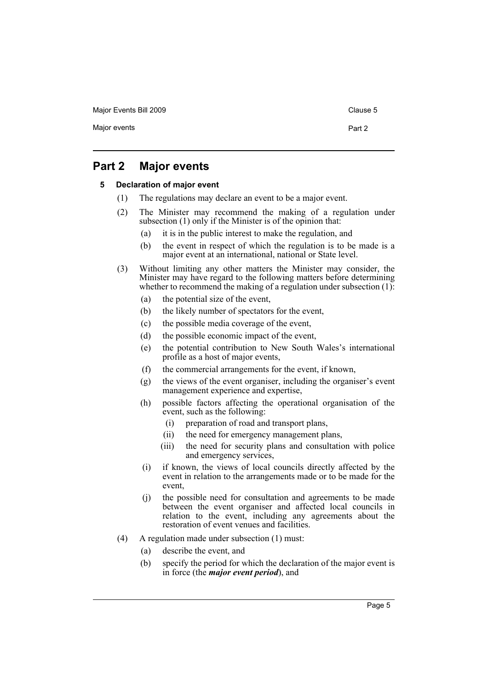Major Events Bill 2009 Clause 5

### <span id="page-8-1"></span><span id="page-8-0"></span>**Part 2 Major events**

#### **5 Declaration of major event**

- (1) The regulations may declare an event to be a major event.
- (2) The Minister may recommend the making of a regulation under subsection (1) only if the Minister is of the opinion that:
	- (a) it is in the public interest to make the regulation, and
	- (b) the event in respect of which the regulation is to be made is a major event at an international, national or State level.
- (3) Without limiting any other matters the Minister may consider, the Minister may have regard to the following matters before determining whether to recommend the making of a regulation under subsection  $(1)$ :
	- (a) the potential size of the event,
	- (b) the likely number of spectators for the event,
	- (c) the possible media coverage of the event,
	- (d) the possible economic impact of the event,
	- (e) the potential contribution to New South Wales's international profile as a host of major events,
	- (f) the commercial arrangements for the event, if known,
	- (g) the views of the event organiser, including the organiser's event management experience and expertise,
	- (h) possible factors affecting the operational organisation of the event, such as the following:
		- (i) preparation of road and transport plans,
		- (ii) the need for emergency management plans,
		- (iii) the need for security plans and consultation with police and emergency services,
	- (i) if known, the views of local councils directly affected by the event in relation to the arrangements made or to be made for the event,
	- (j) the possible need for consultation and agreements to be made between the event organiser and affected local councils in relation to the event, including any agreements about the restoration of event venues and facilities.
- (4) A regulation made under subsection (1) must:
	- (a) describe the event, and
	- (b) specify the period for which the declaration of the major event is in force (the *major event period*), and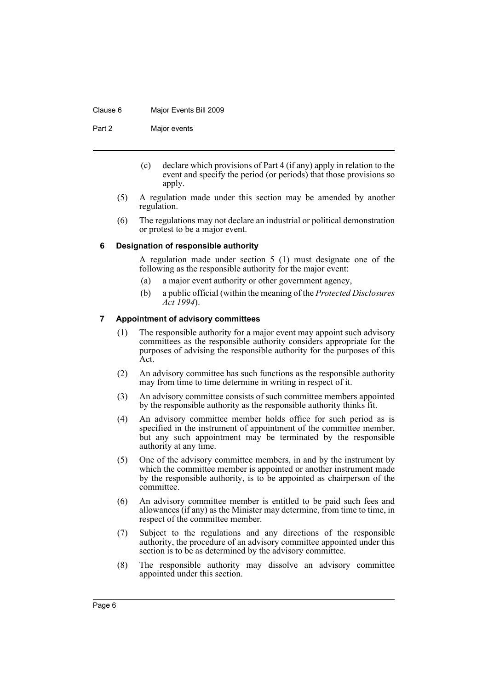#### Clause 6 Major Events Bill 2009

Part 2 Major events

- (c) declare which provisions of Part 4 (if any) apply in relation to the event and specify the period (or periods) that those provisions so apply.
- (5) A regulation made under this section may be amended by another regulation.
- (6) The regulations may not declare an industrial or political demonstration or protest to be a major event.

### <span id="page-9-0"></span>**6 Designation of responsible authority**

A regulation made under section 5 (1) must designate one of the following as the responsible authority for the major event:

- (a) a major event authority or other government agency,
- (b) a public official (within the meaning of the *Protected Disclosures Act 1994*).

### <span id="page-9-1"></span>**7 Appointment of advisory committees**

- (1) The responsible authority for a major event may appoint such advisory committees as the responsible authority considers appropriate for the purposes of advising the responsible authority for the purposes of this Act.
- (2) An advisory committee has such functions as the responsible authority may from time to time determine in writing in respect of it.
- (3) An advisory committee consists of such committee members appointed by the responsible authority as the responsible authority thinks fit.
- (4) An advisory committee member holds office for such period as is specified in the instrument of appointment of the committee member, but any such appointment may be terminated by the responsible authority at any time.
- (5) One of the advisory committee members, in and by the instrument by which the committee member is appointed or another instrument made by the responsible authority, is to be appointed as chairperson of the committee.
- (6) An advisory committee member is entitled to be paid such fees and allowances (if any) as the Minister may determine, from time to time, in respect of the committee member.
- (7) Subject to the regulations and any directions of the responsible authority, the procedure of an advisory committee appointed under this section is to be as determined by the advisory committee.
- (8) The responsible authority may dissolve an advisory committee appointed under this section.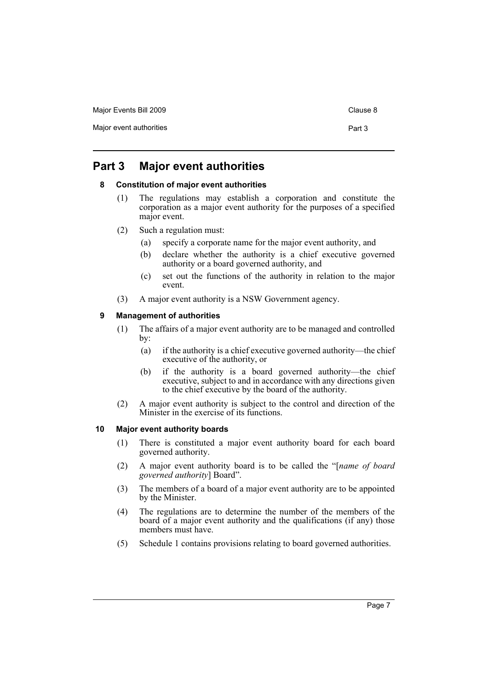Major Events Bill 2009 Clause 8

Major event authorities **Part 3** 

### <span id="page-10-1"></span><span id="page-10-0"></span>**Part 3 Major event authorities**

### **8 Constitution of major event authorities**

- (1) The regulations may establish a corporation and constitute the corporation as a major event authority for the purposes of a specified major event.
- (2) Such a regulation must:
	- (a) specify a corporate name for the major event authority, and
	- (b) declare whether the authority is a chief executive governed authority or a board governed authority, and
	- (c) set out the functions of the authority in relation to the major event.
- (3) A major event authority is a NSW Government agency.

### <span id="page-10-2"></span>**9 Management of authorities**

- (1) The affairs of a major event authority are to be managed and controlled by:
	- (a) if the authority is a chief executive governed authority—the chief executive of the authority, or
	- (b) if the authority is a board governed authority—the chief executive, subject to and in accordance with any directions given to the chief executive by the board of the authority.
- (2) A major event authority is subject to the control and direction of the Minister in the exercise of its functions.

### <span id="page-10-3"></span>**10 Major event authority boards**

- (1) There is constituted a major event authority board for each board governed authority.
- (2) A major event authority board is to be called the "[*name of board governed authority*] Board".
- (3) The members of a board of a major event authority are to be appointed by the Minister.
- (4) The regulations are to determine the number of the members of the board of a major event authority and the qualifications (if any) those members must have.
- (5) Schedule 1 contains provisions relating to board governed authorities.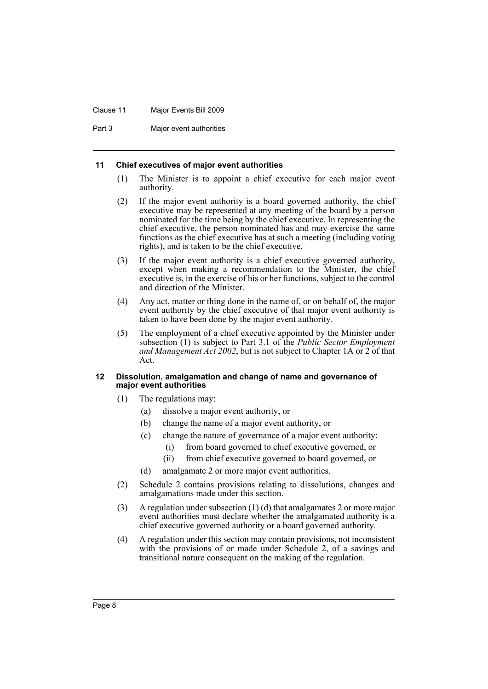#### Clause 11 Major Events Bill 2009

Part 3 Major event authorities

#### <span id="page-11-0"></span>**11 Chief executives of major event authorities**

- (1) The Minister is to appoint a chief executive for each major event authority.
- (2) If the major event authority is a board governed authority, the chief executive may be represented at any meeting of the board by a person nominated for the time being by the chief executive. In representing the chief executive, the person nominated has and may exercise the same functions as the chief executive has at such a meeting (including voting rights), and is taken to be the chief executive.
- (3) If the major event authority is a chief executive governed authority, except when making a recommendation to the Minister, the chief executive is, in the exercise of his or her functions, subject to the control and direction of the Minister.
- (4) Any act, matter or thing done in the name of, or on behalf of, the major event authority by the chief executive of that major event authority is taken to have been done by the major event authority.
- (5) The employment of a chief executive appointed by the Minister under subsection (1) is subject to Part 3.1 of the *Public Sector Employment and Management Act 2002*, but is not subject to Chapter 1A or 2 of that Act.

#### <span id="page-11-1"></span>**12 Dissolution, amalgamation and change of name and governance of major event authorities**

- (1) The regulations may:
	- (a) dissolve a major event authority, or
	- (b) change the name of a major event authority, or
	- (c) change the nature of governance of a major event authority:
		- (i) from board governed to chief executive governed, or
		- (ii) from chief executive governed to board governed, or
	- (d) amalgamate 2 or more major event authorities.
- (2) Schedule 2 contains provisions relating to dissolutions, changes and amalgamations made under this section.
- (3) A regulation under subsection (1) (d) that amalgamates 2 or more major event authorities must declare whether the amalgamated authority is a chief executive governed authority or a board governed authority.
- (4) A regulation under this section may contain provisions, not inconsistent with the provisions of or made under Schedule 2, of a savings and transitional nature consequent on the making of the regulation.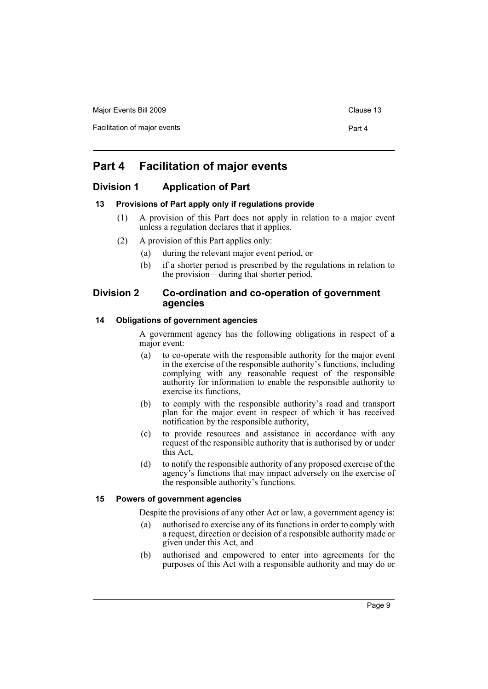| Major Events Bill 2009       | Clause 13 |
|------------------------------|-----------|
| Facilitation of major events | Part 4    |

## <span id="page-12-0"></span>**Part 4 Facilitation of major events**

### <span id="page-12-1"></span>**Division 1 Application of Part**

### <span id="page-12-2"></span>**13 Provisions of Part apply only if regulations provide**

- (1) A provision of this Part does not apply in relation to a major event unless a regulation declares that it applies.
- (2) A provision of this Part applies only:
	- (a) during the relevant major event period, or
	- (b) if a shorter period is prescribed by the regulations in relation to the provision—during that shorter period.

### <span id="page-12-3"></span>**Division 2 Co-ordination and co-operation of government agencies**

### <span id="page-12-4"></span>**14 Obligations of government agencies**

A government agency has the following obligations in respect of a major event:

- (a) to co-operate with the responsible authority for the major event in the exercise of the responsible authority's functions, including complying with any reasonable request of the responsible authority for information to enable the responsible authority to exercise its functions,
- (b) to comply with the responsible authority's road and transport plan for the major event in respect of which it has received notification by the responsible authority,
- (c) to provide resources and assistance in accordance with any request of the responsible authority that is authorised by or under this Act,
- (d) to notify the responsible authority of any proposed exercise of the agency's functions that may impact adversely on the exercise of the responsible authority's functions.

### <span id="page-12-5"></span>**15 Powers of government agencies**

Despite the provisions of any other Act or law, a government agency is:

- (a) authorised to exercise any of its functions in order to comply with a request, direction or decision of a responsible authority made or given under this Act, and
- (b) authorised and empowered to enter into agreements for the purposes of this Act with a responsible authority and may do or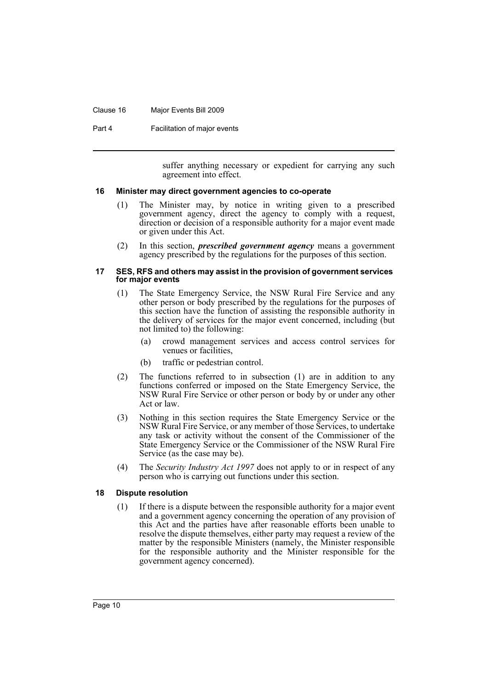#### Clause 16 Major Events Bill 2009

Part 4 **Facilitation of major events** 

suffer anything necessary or expedient for carrying any such agreement into effect.

#### <span id="page-13-0"></span>**16 Minister may direct government agencies to co-operate**

- (1) The Minister may, by notice in writing given to a prescribed government agency, direct the agency to comply with a request, direction or decision of a responsible authority for a major event made or given under this Act.
- (2) In this section, *prescribed government agency* means a government agency prescribed by the regulations for the purposes of this section.

#### <span id="page-13-1"></span>**17 SES, RFS and others may assist in the provision of government services for major events**

- (1) The State Emergency Service, the NSW Rural Fire Service and any other person or body prescribed by the regulations for the purposes of this section have the function of assisting the responsible authority in the delivery of services for the major event concerned, including (but not limited to) the following:
	- (a) crowd management services and access control services for venues or facilities,
	- (b) traffic or pedestrian control.
- (2) The functions referred to in subsection (1) are in addition to any functions conferred or imposed on the State Emergency Service, the NSW Rural Fire Service or other person or body by or under any other Act or law.
- (3) Nothing in this section requires the State Emergency Service or the NSW Rural Fire Service, or any member of those Services, to undertake any task or activity without the consent of the Commissioner of the State Emergency Service or the Commissioner of the NSW Rural Fire Service (as the case may be).
- (4) The *Security Industry Act 1997* does not apply to or in respect of any person who is carrying out functions under this section.

#### <span id="page-13-2"></span>**18 Dispute resolution**

(1) If there is a dispute between the responsible authority for a major event and a government agency concerning the operation of any provision of this Act and the parties have after reasonable efforts been unable to resolve the dispute themselves, either party may request a review of the matter by the responsible Ministers (namely, the Minister responsible for the responsible authority and the Minister responsible for the government agency concerned).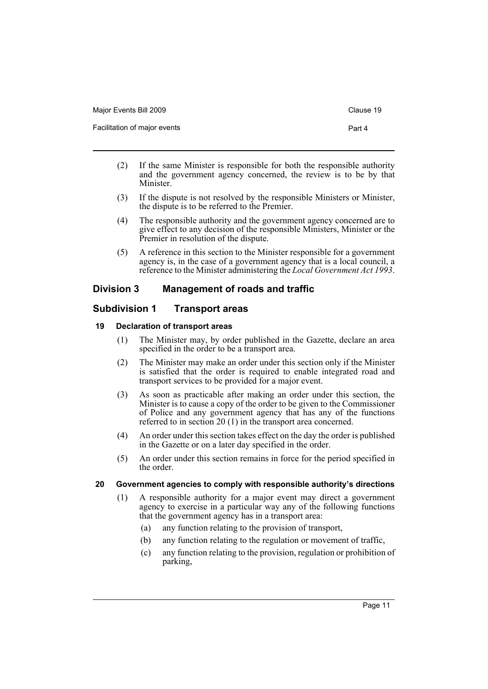| Major Events Bill 2009       | Clause 19 |
|------------------------------|-----------|
| Facilitation of major events | Part 4    |

- (2) If the same Minister is responsible for both the responsible authority and the government agency concerned, the review is to be by that Minister.
- (3) If the dispute is not resolved by the responsible Ministers or Minister, the dispute is to be referred to the Premier.
- (4) The responsible authority and the government agency concerned are to give effect to any decision of the responsible Ministers, Minister or the Premier in resolution of the dispute.
- (5) A reference in this section to the Minister responsible for a government agency is, in the case of a government agency that is a local council, a reference to the Minister administering the *Local Government Act 1993*.

### <span id="page-14-0"></span>**Division 3 Management of roads and traffic**

### <span id="page-14-1"></span>**Subdivision 1 Transport areas**

### <span id="page-14-2"></span>**19 Declaration of transport areas**

- (1) The Minister may, by order published in the Gazette, declare an area specified in the order to be a transport area.
- (2) The Minister may make an order under this section only if the Minister is satisfied that the order is required to enable integrated road and transport services to be provided for a major event.
- (3) As soon as practicable after making an order under this section, the Minister is to cause a copy of the order to be given to the Commissioner of Police and any government agency that has any of the functions referred to in section 20 (1) in the transport area concerned.
- (4) An order under this section takes effect on the day the order is published in the Gazette or on a later day specified in the order.
- (5) An order under this section remains in force for the period specified in the order.

### <span id="page-14-3"></span>**20 Government agencies to comply with responsible authority's directions**

- (1) A responsible authority for a major event may direct a government agency to exercise in a particular way any of the following functions that the government agency has in a transport area:
	- (a) any function relating to the provision of transport,
	- (b) any function relating to the regulation or movement of traffic,
	- (c) any function relating to the provision, regulation or prohibition of parking,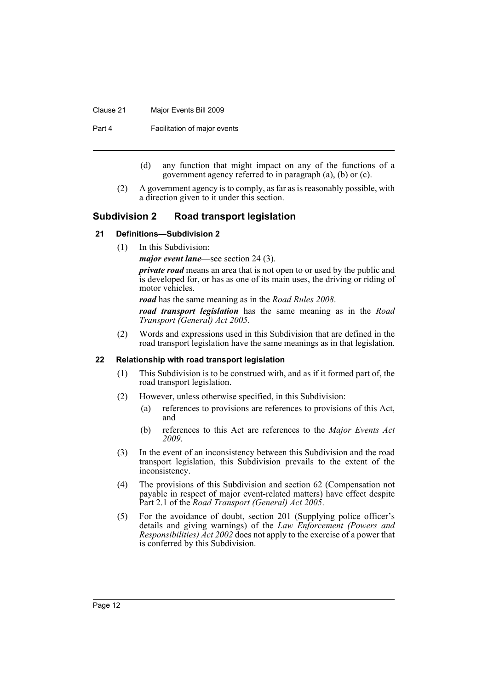#### Clause 21 Major Events Bill 2009

Part 4 **Facilitation of major events** 

- (d) any function that might impact on any of the functions of a government agency referred to in paragraph (a), (b) or (c).
- (2) A government agency is to comply, as far as is reasonably possible, with a direction given to it under this section.

### <span id="page-15-0"></span>**Subdivision 2 Road transport legislation**

#### <span id="page-15-1"></span>**21 Definitions—Subdivision 2**

(1) In this Subdivision:

*major event lane*—see section 24 (3).

*private road* means an area that is not open to or used by the public and is developed for, or has as one of its main uses, the driving or riding of motor vehicles.

*road* has the same meaning as in the *Road Rules 2008*.

*road transport legislation* has the same meaning as in the *Road Transport (General) Act 2005*.

(2) Words and expressions used in this Subdivision that are defined in the road transport legislation have the same meanings as in that legislation.

#### <span id="page-15-2"></span>**22 Relationship with road transport legislation**

- (1) This Subdivision is to be construed with, and as if it formed part of, the road transport legislation.
- (2) However, unless otherwise specified, in this Subdivision:
	- (a) references to provisions are references to provisions of this Act, and
	- (b) references to this Act are references to the *Major Events Act 2009*.
- (3) In the event of an inconsistency between this Subdivision and the road transport legislation, this Subdivision prevails to the extent of the inconsistency.
- (4) The provisions of this Subdivision and section 62 (Compensation not payable in respect of major event-related matters) have effect despite Part 2.1 of the *Road Transport (General) Act 2005*.
- (5) For the avoidance of doubt, section 201 (Supplying police officer's details and giving warnings) of the *Law Enforcement (Powers and Responsibilities) Act 2002* does not apply to the exercise of a power that is conferred by this Subdivision.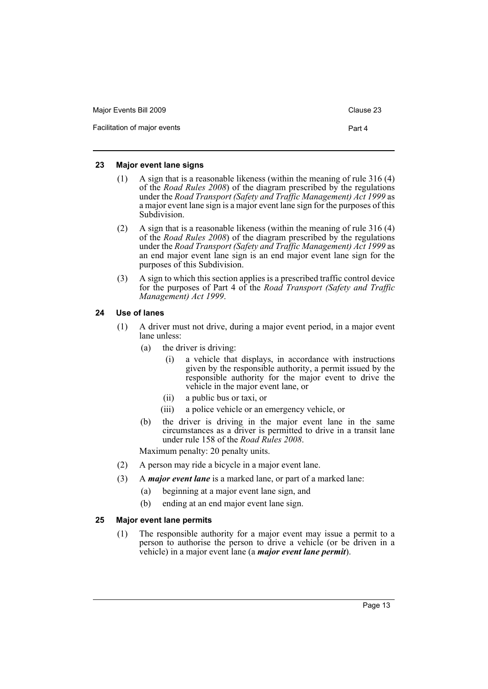| Major Events Bill 2009       | Clause 23 |
|------------------------------|-----------|
| Facilitation of major events | Part 4    |

#### <span id="page-16-0"></span>**23 Major event lane signs**

- (1) A sign that is a reasonable likeness (within the meaning of rule 316 (4) of the *Road Rules 2008*) of the diagram prescribed by the regulations under the *Road Transport (Safety and Traffic Management) Act 1999* as a major event lane sign is a major event lane sign for the purposes of this Subdivision.
- (2) A sign that is a reasonable likeness (within the meaning of rule 316 (4) of the *Road Rules 2008*) of the diagram prescribed by the regulations under the *Road Transport (Safety and Traffic Management) Act 1999* as an end major event lane sign is an end major event lane sign for the purposes of this Subdivision.
- (3) A sign to which this section applies is a prescribed traffic control device for the purposes of Part 4 of the *Road Transport (Safety and Traffic Management) Act 1999*.

### <span id="page-16-1"></span>**24 Use of lanes**

- (1) A driver must not drive, during a major event period, in a major event lane unless:
	- (a) the driver is driving:
		- (i) a vehicle that displays, in accordance with instructions given by the responsible authority, a permit issued by the responsible authority for the major event to drive the vehicle in the major event lane, or
		- (ii) a public bus or taxi, or
		- (iii) a police vehicle or an emergency vehicle, or
	- (b) the driver is driving in the major event lane in the same circumstances as a driver is permitted to drive in a transit lane under rule 158 of the *Road Rules 2008*.

Maximum penalty: 20 penalty units.

- (2) A person may ride a bicycle in a major event lane.
- (3) A *major event lane* is a marked lane, or part of a marked lane:
	- (a) beginning at a major event lane sign, and
	- (b) ending at an end major event lane sign.

### <span id="page-16-2"></span>**25 Major event lane permits**

(1) The responsible authority for a major event may issue a permit to a person to authorise the person to drive a vehicle (or be driven in a vehicle) in a major event lane (a *major event lane permit*).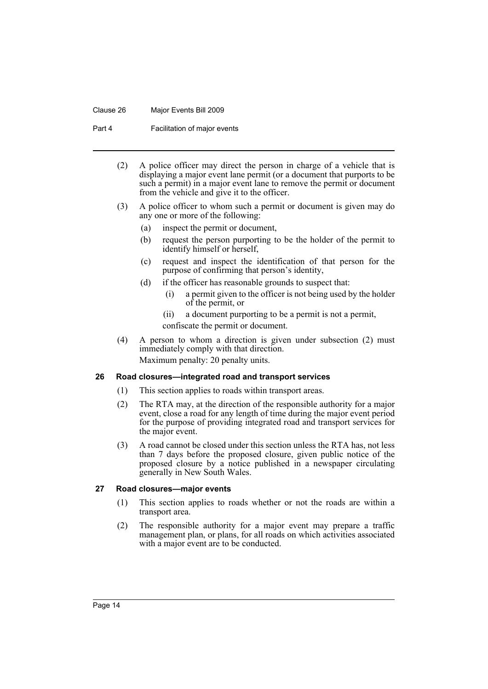#### Clause 26 Major Events Bill 2009

Part 4 **Facilitation of major events** 

- (2) A police officer may direct the person in charge of a vehicle that is displaying a major event lane permit (or a document that purports to be such a permit) in a major event lane to remove the permit or document from the vehicle and give it to the officer.
- (3) A police officer to whom such a permit or document is given may do any one or more of the following:
	- (a) inspect the permit or document,
	- (b) request the person purporting to be the holder of the permit to identify himself or herself,
	- (c) request and inspect the identification of that person for the purpose of confirming that person's identity,
	- (d) if the officer has reasonable grounds to suspect that:
		- (i) a permit given to the officer is not being used by the holder of the permit, or
		- (ii) a document purporting to be a permit is not a permit,

confiscate the permit or document.

(4) A person to whom a direction is given under subsection (2) must immediately comply with that direction. Maximum penalty: 20 penalty units.

### <span id="page-17-0"></span>**26 Road closures—integrated road and transport services**

- (1) This section applies to roads within transport areas.
- (2) The RTA may, at the direction of the responsible authority for a major event, close a road for any length of time during the major event period for the purpose of providing integrated road and transport services for the major event.
- (3) A road cannot be closed under this section unless the RTA has, not less than 7 days before the proposed closure, given public notice of the proposed closure by a notice published in a newspaper circulating generally in New South Wales.

#### <span id="page-17-1"></span>**27 Road closures—major events**

- (1) This section applies to roads whether or not the roads are within a transport area.
- (2) The responsible authority for a major event may prepare a traffic management plan, or plans, for all roads on which activities associated with a major event are to be conducted.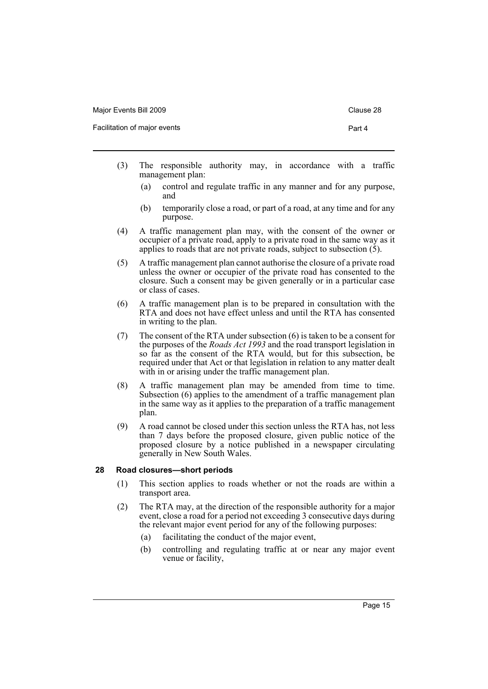| Major Events Bill 2009       | Clause 28 |
|------------------------------|-----------|
| Facilitation of major events | Part 4    |

- (3) The responsible authority may, in accordance with a traffic management plan:
	- (a) control and regulate traffic in any manner and for any purpose, and
	- (b) temporarily close a road, or part of a road, at any time and for any purpose.
- (4) A traffic management plan may, with the consent of the owner or occupier of a private road, apply to a private road in the same way as it applies to roads that are not private roads, subject to subsection (5).
- (5) A traffic management plan cannot authorise the closure of a private road unless the owner or occupier of the private road has consented to the closure. Such a consent may be given generally or in a particular case or class of cases.
- (6) A traffic management plan is to be prepared in consultation with the RTA and does not have effect unless and until the RTA has consented in writing to the plan.
- (7) The consent of the RTA under subsection (6) is taken to be a consent for the purposes of the *Roads Act 1993* and the road transport legislation in so far as the consent of the RTA would, but for this subsection, be required under that Act or that legislation in relation to any matter dealt with in or arising under the traffic management plan.
- (8) A traffic management plan may be amended from time to time. Subsection (6) applies to the amendment of a traffic management plan in the same way as it applies to the preparation of a traffic management plan.
- (9) A road cannot be closed under this section unless the RTA has, not less than 7 days before the proposed closure, given public notice of the proposed closure by a notice published in a newspaper circulating generally in New South Wales.

### <span id="page-18-0"></span>**28 Road closures—short periods**

- (1) This section applies to roads whether or not the roads are within a transport area.
- (2) The RTA may, at the direction of the responsible authority for a major event, close a road for a period not exceeding 3 consecutive days during the relevant major event period for any of the following purposes:
	- (a) facilitating the conduct of the major event,
	- (b) controlling and regulating traffic at or near any major event venue or facility,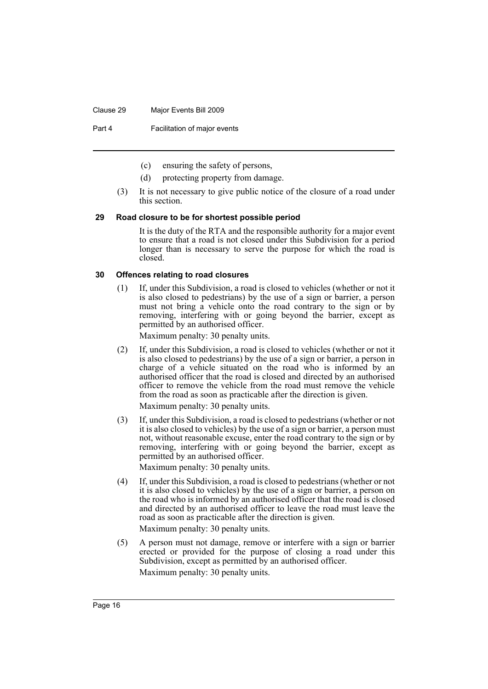#### Clause 29 Major Events Bill 2009

Part 4 **Facilitation of major events** 

- (c) ensuring the safety of persons,
- (d) protecting property from damage.
- (3) It is not necessary to give public notice of the closure of a road under this section.

#### <span id="page-19-0"></span>**29 Road closure to be for shortest possible period**

It is the duty of the RTA and the responsible authority for a major event to ensure that a road is not closed under this Subdivision for a period longer than is necessary to serve the purpose for which the road is closed.

#### <span id="page-19-1"></span>**30 Offences relating to road closures**

(1) If, under this Subdivision, a road is closed to vehicles (whether or not it is also closed to pedestrians) by the use of a sign or barrier, a person must not bring a vehicle onto the road contrary to the sign or by removing, interfering with or going beyond the barrier, except as permitted by an authorised officer.

Maximum penalty: 30 penalty units.

(2) If, under this Subdivision, a road is closed to vehicles (whether or not it is also closed to pedestrians) by the use of a sign or barrier, a person in charge of a vehicle situated on the road who is informed by an authorised officer that the road is closed and directed by an authorised officer to remove the vehicle from the road must remove the vehicle from the road as soon as practicable after the direction is given.

Maximum penalty: 30 penalty units.

(3) If, under this Subdivision, a road is closed to pedestrians (whether or not it is also closed to vehicles) by the use of a sign or barrier, a person must not, without reasonable excuse, enter the road contrary to the sign or by removing, interfering with or going beyond the barrier, except as permitted by an authorised officer.

Maximum penalty: 30 penalty units.

- (4) If, under this Subdivision, a road is closed to pedestrians (whether or not it is also closed to vehicles) by the use of a sign or barrier, a person on the road who is informed by an authorised officer that the road is closed and directed by an authorised officer to leave the road must leave the road as soon as practicable after the direction is given. Maximum penalty: 30 penalty units.
- (5) A person must not damage, remove or interfere with a sign or barrier erected or provided for the purpose of closing a road under this Subdivision, except as permitted by an authorised officer. Maximum penalty: 30 penalty units.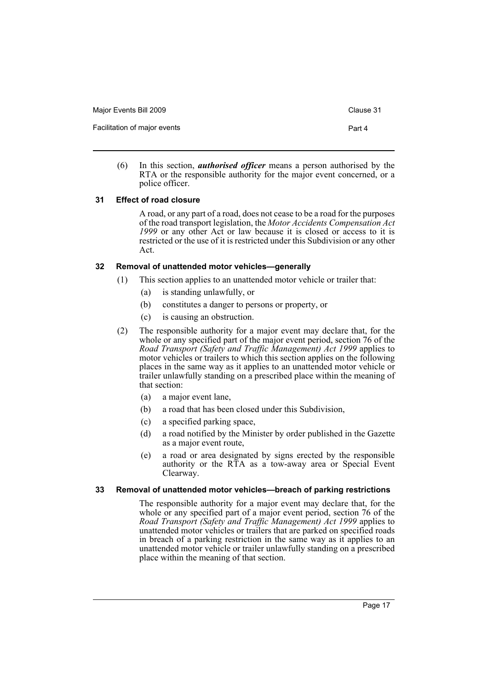| Major Events Bill 2009       | Clause 31 |
|------------------------------|-----------|
| Facilitation of major events | Part 4    |

(6) In this section, *authorised officer* means a person authorised by the RTA or the responsible authority for the major event concerned, or a police officer.

### <span id="page-20-0"></span>**31 Effect of road closure**

A road, or any part of a road, does not cease to be a road for the purposes of the road transport legislation, the *Motor Accidents Compensation Act 1999* or any other Act or law because it is closed or access to it is restricted or the use of it is restricted under this Subdivision or any other Act.

### <span id="page-20-1"></span>**32 Removal of unattended motor vehicles—generally**

- (1) This section applies to an unattended motor vehicle or trailer that:
	- (a) is standing unlawfully, or
	- (b) constitutes a danger to persons or property, or
	- (c) is causing an obstruction.
- (2) The responsible authority for a major event may declare that, for the whole or any specified part of the major event period, section 76 of the *Road Transport (Safety and Traffic Management) Act 1999* applies to motor vehicles or trailers to which this section applies on the following places in the same way as it applies to an unattended motor vehicle or trailer unlawfully standing on a prescribed place within the meaning of that section:
	- (a) a major event lane,
	- (b) a road that has been closed under this Subdivision,
	- (c) a specified parking space,
	- (d) a road notified by the Minister by order published in the Gazette as a major event route,
	- (e) a road or area designated by signs erected by the responsible authority or the RTA as a tow-away area or Special Event Clearway.

#### <span id="page-20-2"></span>**33 Removal of unattended motor vehicles—breach of parking restrictions**

The responsible authority for a major event may declare that, for the whole or any specified part of a major event period, section 76 of the *Road Transport (Safety and Traffic Management) Act 1999* applies to unattended motor vehicles or trailers that are parked on specified roads in breach of a parking restriction in the same way as it applies to an unattended motor vehicle or trailer unlawfully standing on a prescribed place within the meaning of that section.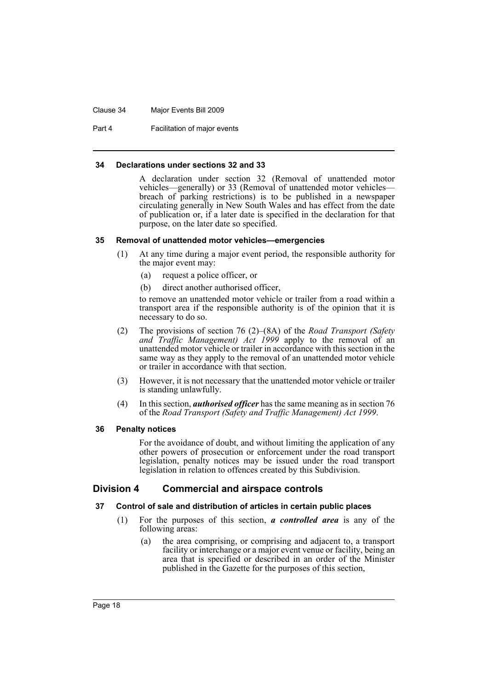#### Clause 34 Major Events Bill 2009

Part 4 **Facilitation of major events** 

#### <span id="page-21-0"></span>**34 Declarations under sections 32 and 33**

A declaration under section 32 (Removal of unattended motor vehicles—generally) or 33 (Removal of unattended motor vehicles breach of parking restrictions) is to be published in a newspaper circulating generally in New South Wales and has effect from the date of publication or, if a later date is specified in the declaration for that purpose, on the later date so specified.

#### <span id="page-21-1"></span>**35 Removal of unattended motor vehicles—emergencies**

- (1) At any time during a major event period, the responsible authority for the major event may:
	- (a) request a police officer, or
	- (b) direct another authorised officer,

to remove an unattended motor vehicle or trailer from a road within a transport area if the responsible authority is of the opinion that it is necessary to do so.

- (2) The provisions of section 76 (2)–(8A) of the *Road Transport (Safety and Traffic Management) Act 1999* apply to the removal of an unattended motor vehicle or trailer in accordance with this section in the same way as they apply to the removal of an unattended motor vehicle or trailer in accordance with that section.
- (3) However, it is not necessary that the unattended motor vehicle or trailer is standing unlawfully.
- (4) In this section, *authorised officer* has the same meaning as in section 76 of the *Road Transport (Safety and Traffic Management) Act 1999*.

#### <span id="page-21-2"></span>**36 Penalty notices**

For the avoidance of doubt, and without limiting the application of any other powers of prosecution or enforcement under the road transport legislation, penalty notices may be issued under the road transport legislation in relation to offences created by this Subdivision.

### <span id="page-21-3"></span>**Division 4 Commercial and airspace controls**

#### <span id="page-21-4"></span>**37 Control of sale and distribution of articles in certain public places**

- (1) For the purposes of this section, *a controlled area* is any of the following areas:
	- (a) the area comprising, or comprising and adjacent to, a transport facility or interchange or a major event venue or facility, being an area that is specified or described in an order of the Minister published in the Gazette for the purposes of this section,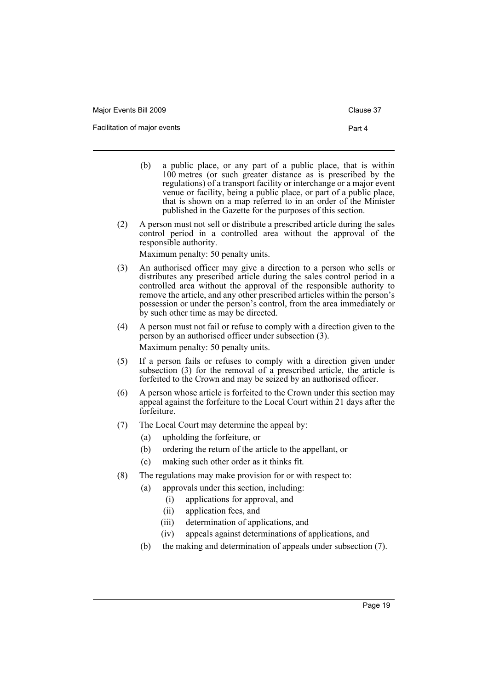| Major Events Bill 2009       | Clause 37 |
|------------------------------|-----------|
| Facilitation of major events | Part 4    |

- (b) a public place, or any part of a public place, that is within 100 metres (or such greater distance as is prescribed by the regulations) of a transport facility or interchange or a major event venue or facility, being a public place, or part of a public place, that is shown on a map referred to in an order of the Minister published in the Gazette for the purposes of this section.
- (2) A person must not sell or distribute a prescribed article during the sales control period in a controlled area without the approval of the responsible authority.

Maximum penalty: 50 penalty units.

- (3) An authorised officer may give a direction to a person who sells or distributes any prescribed article during the sales control period in a controlled area without the approval of the responsible authority to remove the article, and any other prescribed articles within the person's possession or under the person's control, from the area immediately or by such other time as may be directed.
- (4) A person must not fail or refuse to comply with a direction given to the person by an authorised officer under subsection (3). Maximum penalty: 50 penalty units.
- (5) If a person fails or refuses to comply with a direction given under subsection (3) for the removal of a prescribed article, the article is forfeited to the Crown and may be seized by an authorised officer.
- (6) A person whose article is forfeited to the Crown under this section may appeal against the forfeiture to the Local Court within 21 days after the forfeiture.
- (7) The Local Court may determine the appeal by:
	- (a) upholding the forfeiture, or
	- (b) ordering the return of the article to the appellant, or
	- (c) making such other order as it thinks fit.
- (8) The regulations may make provision for or with respect to:
	- (a) approvals under this section, including:
		- (i) applications for approval, and
		- (ii) application fees, and
		- (iii) determination of applications, and
		- (iv) appeals against determinations of applications, and
	- (b) the making and determination of appeals under subsection (7).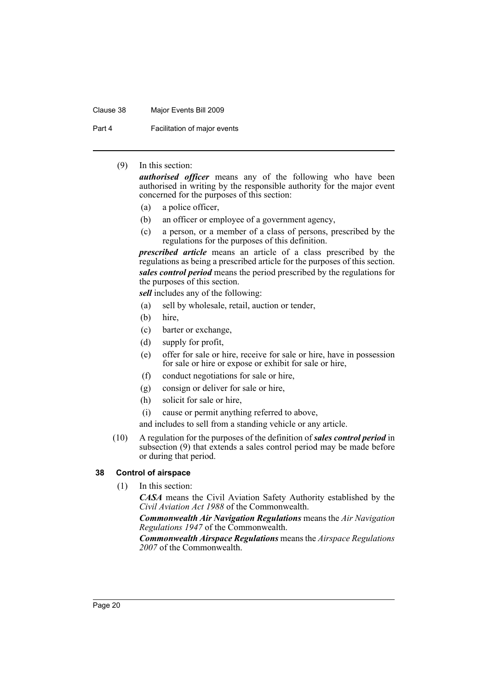#### Clause 38 Major Events Bill 2009

Part 4 **Facilitation of major events** 

### (9) In this section:

*authorised officer* means any of the following who have been authorised in writing by the responsible authority for the major event concerned for the purposes of this section:

- (a) a police officer,
- (b) an officer or employee of a government agency,
- (c) a person, or a member of a class of persons, prescribed by the regulations for the purposes of this definition.

*prescribed article* means an article of a class prescribed by the regulations as being a prescribed article for the purposes of this section. *sales control period* means the period prescribed by the regulations for the purposes of this section.

*sell* includes any of the following:

- (a) sell by wholesale, retail, auction or tender,
- (b) hire,
- (c) barter or exchange,
- (d) supply for profit,
- (e) offer for sale or hire, receive for sale or hire, have in possession for sale or hire or expose or exhibit for sale or hire,
- (f) conduct negotiations for sale or hire,
- (g) consign or deliver for sale or hire,
- (h) solicit for sale or hire,
- (i) cause or permit anything referred to above,

and includes to sell from a standing vehicle or any article.

(10) A regulation for the purposes of the definition of *sales control period* in subsection (9) that extends a sales control period may be made before or during that period.

### <span id="page-23-0"></span>**38 Control of airspace**

(1) In this section:

*CASA* means the Civil Aviation Safety Authority established by the *Civil Aviation Act 1988* of the Commonwealth.

*Commonwealth Air Navigation Regulations* means the *Air Navigation Regulations 1947* of the Commonwealth.

*Commonwealth Airspace Regulations* means the *Airspace Regulations 2007* of the Commonwealth.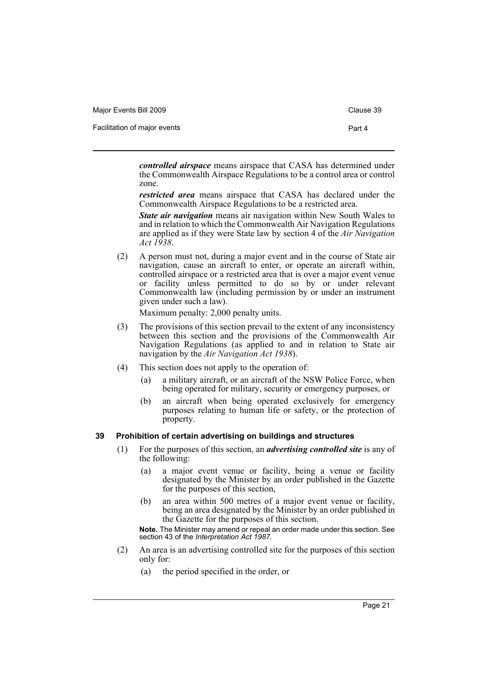| Major Events Bill 2009       | Clause 39 |
|------------------------------|-----------|
| Facilitation of major events | Part 4    |

*controlled airspace* means airspace that CASA has determined under the Commonwealth Airspace Regulations to be a control area or control zone.

*restricted area* means airspace that CASA has declared under the Commonwealth Airspace Regulations to be a restricted area.

*State air navigation* means air navigation within New South Wales to and in relation to which the Commonwealth Air Navigation Regulations are applied as if they were State law by section 4 of the *Air Navigation Act 1938*.

(2) A person must not, during a major event and in the course of State air navigation, cause an aircraft to enter, or operate an aircraft within, controlled airspace or a restricted area that is over a major event venue or facility unless permitted to do so by or under relevant Commonwealth law (including permission by or under an instrument given under such a law).

Maximum penalty: 2,000 penalty units.

- (3) The provisions of this section prevail to the extent of any inconsistency between this section and the provisions of the Commonwealth Air Navigation Regulations (as applied to and in relation to State air navigation by the *Air Navigation Act 1938*).
- (4) This section does not apply to the operation of:
	- (a) a military aircraft, or an aircraft of the NSW Police Force, when being operated for military, security or emergency purposes, or
	- (b) an aircraft when being operated exclusively for emergency purposes relating to human life or safety, or the protection of property.

### <span id="page-24-0"></span>**39 Prohibition of certain advertising on buildings and structures**

- (1) For the purposes of this section, an *advertising controlled site* is any of the following:
	- (a) a major event venue or facility, being a venue or facility designated by the Minister by an order published in the Gazette for the purposes of this section,
	- (b) an area within 500 metres of a major event venue or facility, being an area designated by the Minister by an order published in the Gazette for the purposes of this section.

**Note.** The Minister may amend or repeal an order made under this section. See section 43 of the *Interpretation Act 1987*.

- (2) An area is an advertising controlled site for the purposes of this section only for:
	- (a) the period specified in the order, or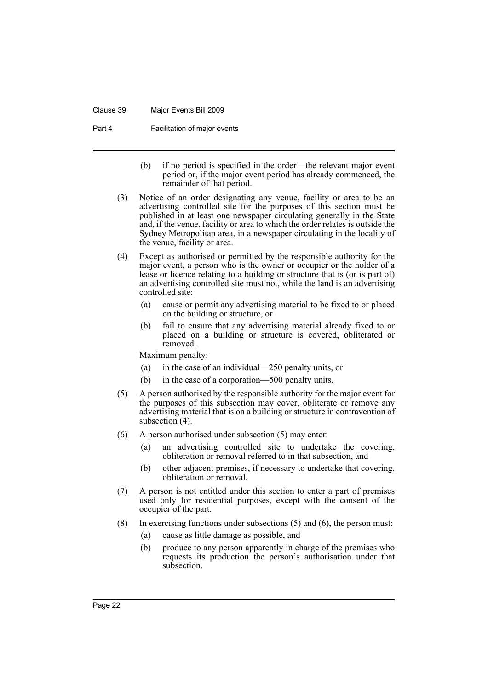#### Clause 39 Major Events Bill 2009

Part 4 **Facilitation of major events** 

- (b) if no period is specified in the order—the relevant major event period or, if the major event period has already commenced, the remainder of that period.
- (3) Notice of an order designating any venue, facility or area to be an advertising controlled site for the purposes of this section must be published in at least one newspaper circulating generally in the State and, if the venue, facility or area to which the order relates is outside the Sydney Metropolitan area, in a newspaper circulating in the locality of the venue, facility or area.
- (4) Except as authorised or permitted by the responsible authority for the major event, a person who is the owner or occupier or the holder of a lease or licence relating to a building or structure that is (or is part of) an advertising controlled site must not, while the land is an advertising controlled site:
	- (a) cause or permit any advertising material to be fixed to or placed on the building or structure, or
	- (b) fail to ensure that any advertising material already fixed to or placed on a building or structure is covered, obliterated or removed.

Maximum penalty:

- (a) in the case of an individual—250 penalty units, or
- (b) in the case of a corporation—500 penalty units.
- (5) A person authorised by the responsible authority for the major event for the purposes of this subsection may cover, obliterate or remove any advertising material that is on a building or structure in contravention of subsection (4).
- (6) A person authorised under subsection (5) may enter:
	- (a) an advertising controlled site to undertake the covering, obliteration or removal referred to in that subsection, and
	- (b) other adjacent premises, if necessary to undertake that covering, obliteration or removal.
- (7) A person is not entitled under this section to enter a part of premises used only for residential purposes, except with the consent of the occupier of the part.
- (8) In exercising functions under subsections (5) and (6), the person must:
	- (a) cause as little damage as possible, and
	- (b) produce to any person apparently in charge of the premises who requests its production the person's authorisation under that subsection.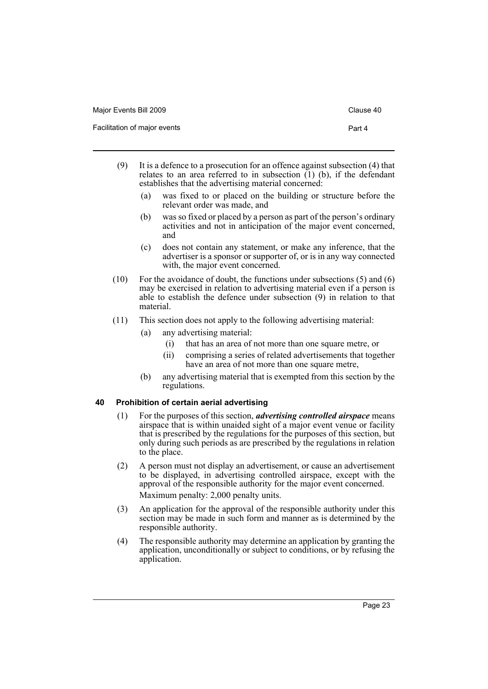| Major Events Bill 2009       | Clause 40 |
|------------------------------|-----------|
| Facilitation of major events | Part 4    |

- (9) It is a defence to a prosecution for an offence against subsection (4) that relates to an area referred to in subsection  $(1)$  (b), if the defendant establishes that the advertising material concerned:
	- (a) was fixed to or placed on the building or structure before the relevant order was made, and
	- (b) was so fixed or placed by a person as part of the person's ordinary activities and not in anticipation of the major event concerned, and
	- (c) does not contain any statement, or make any inference, that the advertiser is a sponsor or supporter of, or is in any way connected with, the major event concerned.
- (10) For the avoidance of doubt, the functions under subsections (5) and (6) may be exercised in relation to advertising material even if a person is able to establish the defence under subsection (9) in relation to that material.
- (11) This section does not apply to the following advertising material:
	- (a) any advertising material:
		- (i) that has an area of not more than one square metre, or
		- (ii) comprising a series of related advertisements that together have an area of not more than one square metre,
	- (b) any advertising material that is exempted from this section by the regulations.

### <span id="page-26-0"></span>**40 Prohibition of certain aerial advertising**

- (1) For the purposes of this section, *advertising controlled airspace* means airspace that is within unaided sight of a major event venue or facility that is prescribed by the regulations for the purposes of this section, but only during such periods as are prescribed by the regulations in relation to the place.
- (2) A person must not display an advertisement, or cause an advertisement to be displayed, in advertising controlled airspace, except with the approval of the responsible authority for the major event concerned. Maximum penalty: 2,000 penalty units.
- (3) An application for the approval of the responsible authority under this section may be made in such form and manner as is determined by the responsible authority.
- (4) The responsible authority may determine an application by granting the application, unconditionally or subject to conditions, or by refusing the application.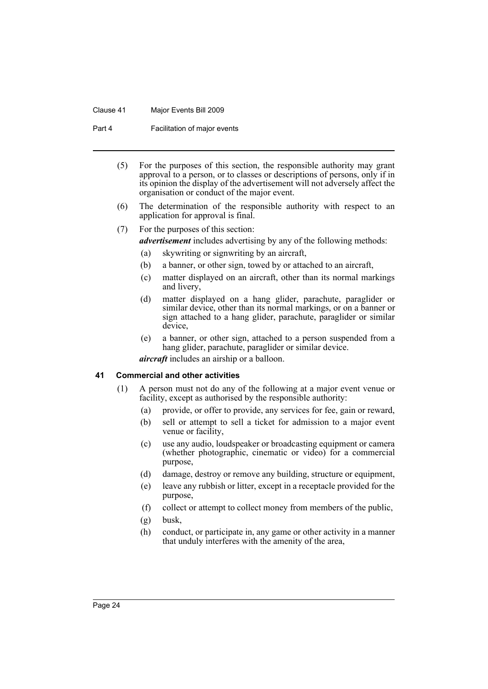#### Clause 41 Major Events Bill 2009

Part 4 **Facilitation of major events** 

- (5) For the purposes of this section, the responsible authority may grant approval to a person, or to classes or descriptions of persons, only if in its opinion the display of the advertisement will not adversely affect the organisation or conduct of the major event.
- (6) The determination of the responsible authority with respect to an application for approval is final.

### (7) For the purposes of this section:

- *advertisement* includes advertising by any of the following methods:
	- (a) skywriting or signwriting by an aircraft,
	- (b) a banner, or other sign, towed by or attached to an aircraft,
	- (c) matter displayed on an aircraft, other than its normal markings and livery,
	- (d) matter displayed on a hang glider, parachute, paraglider or similar device, other than its normal markings, or on a banner or sign attached to a hang glider, parachute, paraglider or similar device,
	- (e) a banner, or other sign, attached to a person suspended from a hang glider, parachute, paraglider or similar device.

*aircraft* includes an airship or a balloon.

#### <span id="page-27-0"></span>**41 Commercial and other activities**

- (1) A person must not do any of the following at a major event venue or facility, except as authorised by the responsible authority:
	- (a) provide, or offer to provide, any services for fee, gain or reward,
	- (b) sell or attempt to sell a ticket for admission to a major event venue or facility,
	- (c) use any audio, loudspeaker or broadcasting equipment or camera (whether photographic, cinematic or video) for a commercial purpose,
	- (d) damage, destroy or remove any building, structure or equipment,
	- (e) leave any rubbish or litter, except in a receptacle provided for the purpose,
	- (f) collect or attempt to collect money from members of the public,
	- (g) busk,
	- (h) conduct, or participate in, any game or other activity in a manner that unduly interferes with the amenity of the area,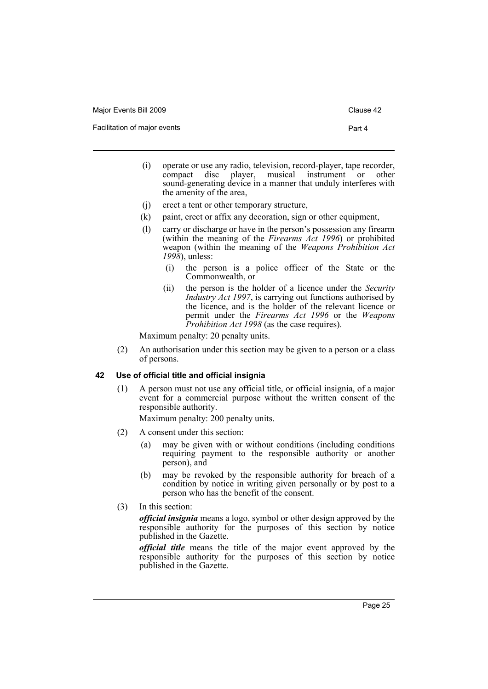Major Events Bill 2009 Clause 42

Facilitation of major events **Part 4** 

- 
- (i) operate or use any radio, television, record-player, tape recorder, compact disc player, musical instrument or other sound-generating device in a manner that unduly interferes with the amenity of the area,
- (j) erect a tent or other temporary structure,
- (k) paint, erect or affix any decoration, sign or other equipment,
- (l) carry or discharge or have in the person's possession any firearm (within the meaning of the *Firearms Act 1996*) or prohibited weapon (within the meaning of the *Weapons Prohibition Act 1998*), unless:
	- (i) the person is a police officer of the State or the Commonwealth, or
	- (ii) the person is the holder of a licence under the *Security Industry Act 1997*, is carrying out functions authorised by the licence, and is the holder of the relevant licence or permit under the *Firearms Act 1996* or the *Weapons Prohibition Act 1998* (as the case requires).

Maximum penalty: 20 penalty units.

(2) An authorisation under this section may be given to a person or a class of persons.

### <span id="page-28-0"></span>**42 Use of official title and official insignia**

(1) A person must not use any official title, or official insignia, of a major event for a commercial purpose without the written consent of the responsible authority.

Maximum penalty: 200 penalty units.

- (2) A consent under this section:
	- (a) may be given with or without conditions (including conditions requiring payment to the responsible authority or another person), and
	- (b) may be revoked by the responsible authority for breach of a condition by notice in writing given personally or by post to a person who has the benefit of the consent.
- (3) In this section:

*official insignia* means a logo, symbol or other design approved by the responsible authority for the purposes of this section by notice published in the Gazette.

*official title* means the title of the major event approved by the responsible authority for the purposes of this section by notice published in the Gazette.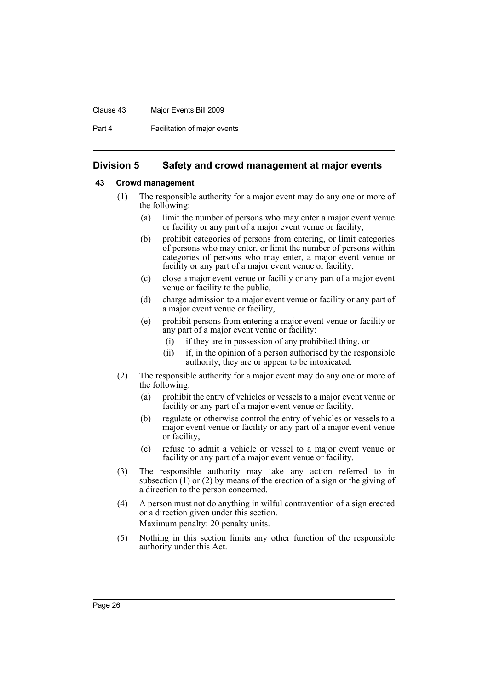#### Clause 43 Major Events Bill 2009

Part 4 **Facilitation of major events** 

### <span id="page-29-0"></span>**Division 5 Safety and crowd management at major events**

### <span id="page-29-1"></span>**43 Crowd management**

- (1) The responsible authority for a major event may do any one or more of the following:
	- (a) limit the number of persons who may enter a major event venue or facility or any part of a major event venue or facility,
	- (b) prohibit categories of persons from entering, or limit categories of persons who may enter, or limit the number of persons within categories of persons who may enter, a major event venue or facility or any part of a major event venue or facility,
	- (c) close a major event venue or facility or any part of a major event venue or facility to the public,
	- (d) charge admission to a major event venue or facility or any part of a major event venue or facility,
	- (e) prohibit persons from entering a major event venue or facility or any part of a major event venue or facility:
		- (i) if they are in possession of any prohibited thing, or
		- (ii) if, in the opinion of a person authorised by the responsible authority, they are or appear to be intoxicated.
- (2) The responsible authority for a major event may do any one or more of the following:
	- (a) prohibit the entry of vehicles or vessels to a major event venue or facility or any part of a major event venue or facility,
	- (b) regulate or otherwise control the entry of vehicles or vessels to a major event venue or facility or any part of a major event venue or facility,
	- (c) refuse to admit a vehicle or vessel to a major event venue or facility or any part of a major event venue or facility.
- (3) The responsible authority may take any action referred to in subsection  $(1)$  or  $(2)$  by means of the erection of a sign or the giving of a direction to the person concerned.
- (4) A person must not do anything in wilful contravention of a sign erected or a direction given under this section. Maximum penalty: 20 penalty units.
- (5) Nothing in this section limits any other function of the responsible authority under this Act.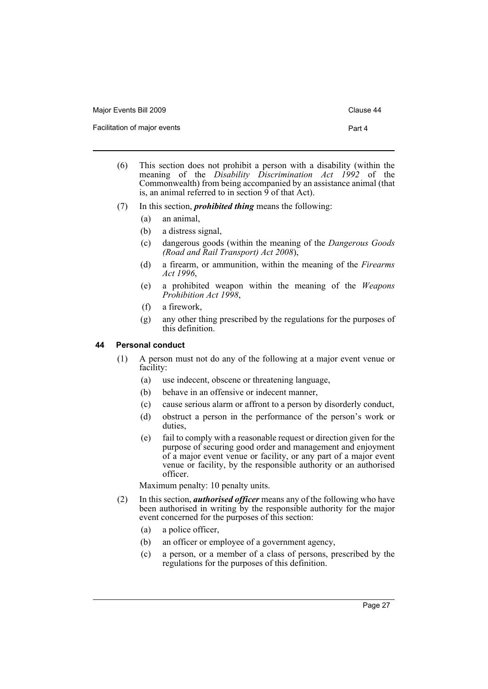| Major Events Bill 2009       | Clause 44 |
|------------------------------|-----------|
| Facilitation of major events | Part 4    |

- (6) This section does not prohibit a person with a disability (within the meaning of the *Disability Discrimination Act 1992* of the Commonwealth) from being accompanied by an assistance animal (that is, an animal referred to in section  $\overline{9}$  of that Act).
- (7) In this section, *prohibited thing* means the following:
	- (a) an animal,
	- (b) a distress signal,
	- (c) dangerous goods (within the meaning of the *Dangerous Goods (Road and Rail Transport) Act 2008*),
	- (d) a firearm, or ammunition, within the meaning of the *Firearms Act 1996*,
	- (e) a prohibited weapon within the meaning of the *Weapons Prohibition Act 1998*,
	- (f) a firework,
	- (g) any other thing prescribed by the regulations for the purposes of this definition.

### <span id="page-30-0"></span>**44 Personal conduct**

- (1) A person must not do any of the following at a major event venue or facility:
	- (a) use indecent, obscene or threatening language,
	- (b) behave in an offensive or indecent manner,
	- (c) cause serious alarm or affront to a person by disorderly conduct,
	- (d) obstruct a person in the performance of the person's work or duties,
	- (e) fail to comply with a reasonable request or direction given for the purpose of securing good order and management and enjoyment of a major event venue or facility, or any part of a major event venue or facility, by the responsible authority or an authorised officer.

Maximum penalty: 10 penalty units.

- (2) In this section, *authorised officer* means any of the following who have been authorised in writing by the responsible authority for the major event concerned for the purposes of this section:
	- (a) a police officer,
	- (b) an officer or employee of a government agency,
	- (c) a person, or a member of a class of persons, prescribed by the regulations for the purposes of this definition.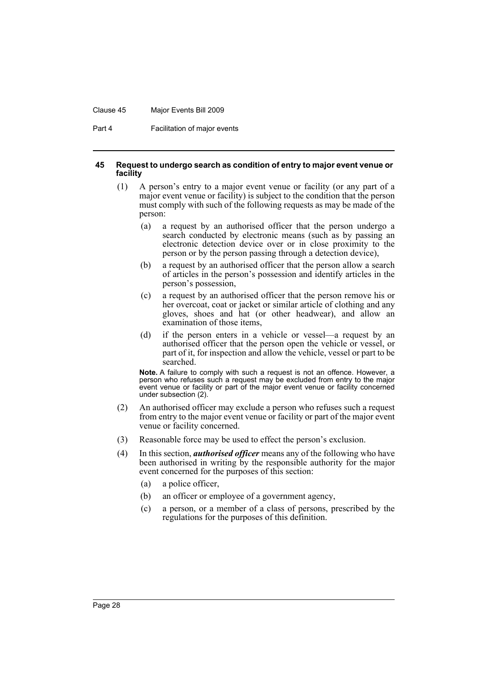#### Clause 45 Major Events Bill 2009

Part 4 **Facilitation of major events** 

#### <span id="page-31-0"></span>**45 Request to undergo search as condition of entry to major event venue or facility**

- (1) A person's entry to a major event venue or facility (or any part of a major event venue or facility) is subject to the condition that the person must comply with such of the following requests as may be made of the person:
	- (a) a request by an authorised officer that the person undergo a search conducted by electronic means (such as by passing an electronic detection device over or in close proximity to the person or by the person passing through a detection device),
	- (b) a request by an authorised officer that the person allow a search of articles in the person's possession and identify articles in the person's possession,
	- (c) a request by an authorised officer that the person remove his or her overcoat, coat or jacket or similar article of clothing and any gloves, shoes and hat (or other headwear), and allow an examination of those items,
	- (d) if the person enters in a vehicle or vessel—a request by an authorised officer that the person open the vehicle or vessel, or part of it, for inspection and allow the vehicle, vessel or part to be searched.

**Note.** A failure to comply with such a request is not an offence. However, a person who refuses such a request may be excluded from entry to the major event venue or facility or part of the major event venue or facility concerned under subsection (2).

- (2) An authorised officer may exclude a person who refuses such a request from entry to the major event venue or facility or part of the major event venue or facility concerned.
- (3) Reasonable force may be used to effect the person's exclusion.
- (4) In this section, *authorised officer* means any of the following who have been authorised in writing by the responsible authority for the major event concerned for the purposes of this section:
	- (a) a police officer,
	- (b) an officer or employee of a government agency,
	- (c) a person, or a member of a class of persons, prescribed by the regulations for the purposes of this definition.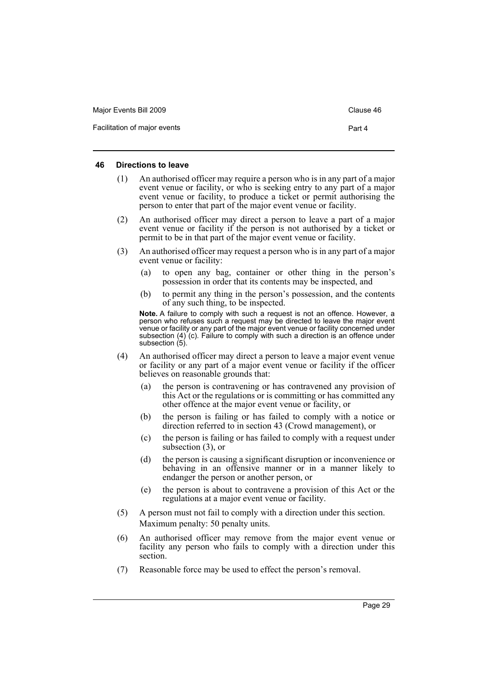| Major Events Bill 2009       | Clause 46 |
|------------------------------|-----------|
| Facilitation of major events | Part 4    |

#### <span id="page-32-0"></span>**46 Directions to leave**

- (1) An authorised officer may require a person who is in any part of a major event venue or facility, or who is seeking entry to any part of a major event venue or facility, to produce a ticket or permit authorising the person to enter that part of the major event venue or facility.
- (2) An authorised officer may direct a person to leave a part of a major event venue or facility if the person is not authorised by a ticket or permit to be in that part of the major event venue or facility.
- (3) An authorised officer may request a person who is in any part of a major event venue or facility:
	- (a) to open any bag, container or other thing in the person's possession in order that its contents may be inspected, and
	- (b) to permit any thing in the person's possession, and the contents of any such thing, to be inspected.

**Note.** A failure to comply with such a request is not an offence. However, a person who refuses such a request may be directed to leave the major event venue or facility or any part of the major event venue or facility concerned under subsection (4) (c). Failure to comply with such a direction is an offence under subsection (5).

- (4) An authorised officer may direct a person to leave a major event venue or facility or any part of a major event venue or facility if the officer believes on reasonable grounds that:
	- (a) the person is contravening or has contravened any provision of this Act or the regulations or is committing or has committed any other offence at the major event venue or facility, or
	- (b) the person is failing or has failed to comply with a notice or direction referred to in section 43 (Crowd management), or
	- (c) the person is failing or has failed to comply with a request under subsection (3), or
	- (d) the person is causing a significant disruption or inconvenience or behaving in an offensive manner or in a manner likely to endanger the person or another person, or
	- (e) the person is about to contravene a provision of this Act or the regulations at a major event venue or facility.
- (5) A person must not fail to comply with a direction under this section. Maximum penalty: 50 penalty units.
- (6) An authorised officer may remove from the major event venue or facility any person who fails to comply with a direction under this section.
- (7) Reasonable force may be used to effect the person's removal.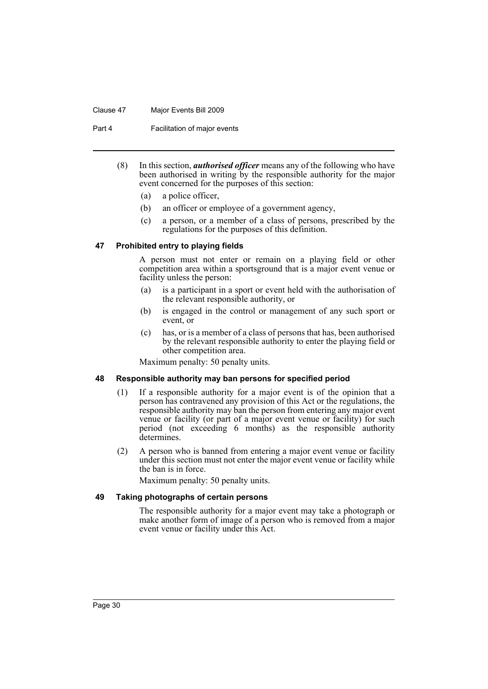#### Clause 47 Major Events Bill 2009

Part 4 **Facilitation of major events** 

- (8) In this section, *authorised officer* means any of the following who have been authorised in writing by the responsible authority for the major event concerned for the purposes of this section:
	- (a) a police officer,
	- (b) an officer or employee of a government agency,
	- (c) a person, or a member of a class of persons, prescribed by the regulations for the purposes of this definition.

### <span id="page-33-0"></span>**47 Prohibited entry to playing fields**

A person must not enter or remain on a playing field or other competition area within a sportsground that is a major event venue or facility unless the person:

- (a) is a participant in a sport or event held with the authorisation of the relevant responsible authority, or
- (b) is engaged in the control or management of any such sport or event, or
- (c) has, or is a member of a class of persons that has, been authorised by the relevant responsible authority to enter the playing field or other competition area.

Maximum penalty: 50 penalty units.

#### <span id="page-33-1"></span>**48 Responsible authority may ban persons for specified period**

- (1) If a responsible authority for a major event is of the opinion that a person has contravened any provision of this Act or the regulations, the responsible authority may ban the person from entering any major event venue or facility (or part of a major event venue or facility) for such period (not exceeding 6 months) as the responsible authority determines.
- (2) A person who is banned from entering a major event venue or facility under this section must not enter the major event venue or facility while the ban is in force.

Maximum penalty: 50 penalty units.

### <span id="page-33-2"></span>**49 Taking photographs of certain persons**

The responsible authority for a major event may take a photograph or make another form of image of a person who is removed from a major event venue or facility under this Act.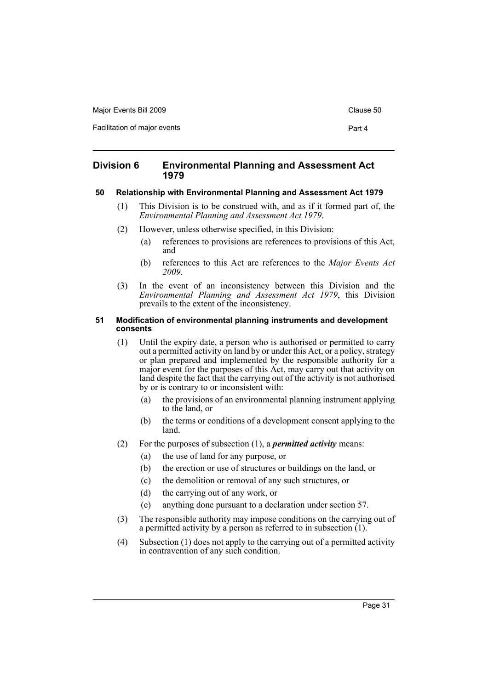Major Events Bill 2009 Clause 50

Facilitation of major events **Part 4** 

### <span id="page-34-0"></span>**Division 6 Environmental Planning and Assessment Act 1979**

### <span id="page-34-1"></span>**50 Relationship with Environmental Planning and Assessment Act 1979**

- (1) This Division is to be construed with, and as if it formed part of, the *Environmental Planning and Assessment Act 1979*.
- (2) However, unless otherwise specified, in this Division:
	- (a) references to provisions are references to provisions of this Act, and
	- (b) references to this Act are references to the *Major Events Act 2009*.
- (3) In the event of an inconsistency between this Division and the *Environmental Planning and Assessment Act 1979*, this Division prevails to the extent of the inconsistency.

#### <span id="page-34-2"></span>**51 Modification of environmental planning instruments and development consents**

- (1) Until the expiry date, a person who is authorised or permitted to carry out a permitted activity on land by or under this Act, or a policy, strategy or plan prepared and implemented by the responsible authority for a major event for the purposes of this Act, may carry out that activity on land despite the fact that the carrying out of the activity is not authorised by or is contrary to or inconsistent with:
	- (a) the provisions of an environmental planning instrument applying to the land, or
	- (b) the terms or conditions of a development consent applying to the land.
- (2) For the purposes of subsection (1), a *permitted activity* means:
	- (a) the use of land for any purpose, or
	- (b) the erection or use of structures or buildings on the land, or
	- (c) the demolition or removal of any such structures, or
	- (d) the carrying out of any work, or
	- (e) anything done pursuant to a declaration under section 57.
- (3) The responsible authority may impose conditions on the carrying out of a permitted activity by a person as referred to in subsection  $(1)$ .
- (4) Subsection (1) does not apply to the carrying out of a permitted activity in contravention of any such condition.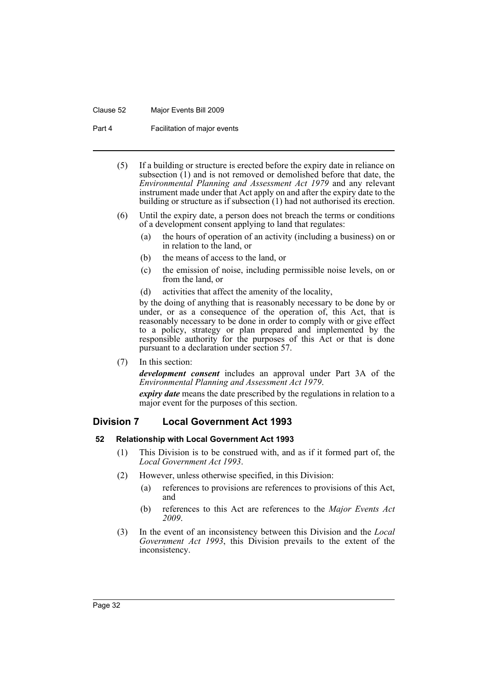#### Clause 52 Major Events Bill 2009

Part 4 **Facilitation of major events** 

- (5) If a building or structure is erected before the expiry date in reliance on subsection  $(1)$  and is not removed or demolished before that date, the *Environmental Planning and Assessment Act 1979* and any relevant instrument made under that Act apply on and after the expiry date to the building or structure as if subsection (1) had not authorised its erection.
- (6) Until the expiry date, a person does not breach the terms or conditions of a development consent applying to land that regulates:
	- (a) the hours of operation of an activity (including a business) on or in relation to the land, or
	- (b) the means of access to the land, or
	- (c) the emission of noise, including permissible noise levels, on or from the land, or
	- (d) activities that affect the amenity of the locality,

by the doing of anything that is reasonably necessary to be done by or under, or as a consequence of the operation of, this Act, that is reasonably necessary to be done in order to comply with or give effect to a policy, strategy or plan prepared and implemented by the responsible authority for the purposes of this Act or that is done pursuant to a declaration under section 57.

(7) In this section:

*development consent* includes an approval under Part 3A of the *Environmental Planning and Assessment Act 1979*.

*expiry date* means the date prescribed by the regulations in relation to a major event for the purposes of this section.

### <span id="page-35-0"></span>**Division 7 Local Government Act 1993**

### <span id="page-35-1"></span>**52 Relationship with Local Government Act 1993**

- (1) This Division is to be construed with, and as if it formed part of, the *Local Government Act 1993*.
- (2) However, unless otherwise specified, in this Division:
	- (a) references to provisions are references to provisions of this Act, and
	- (b) references to this Act are references to the *Major Events Act 2009*.
- (3) In the event of an inconsistency between this Division and the *Local Government Act 1993*, this Division prevails to the extent of the inconsistency.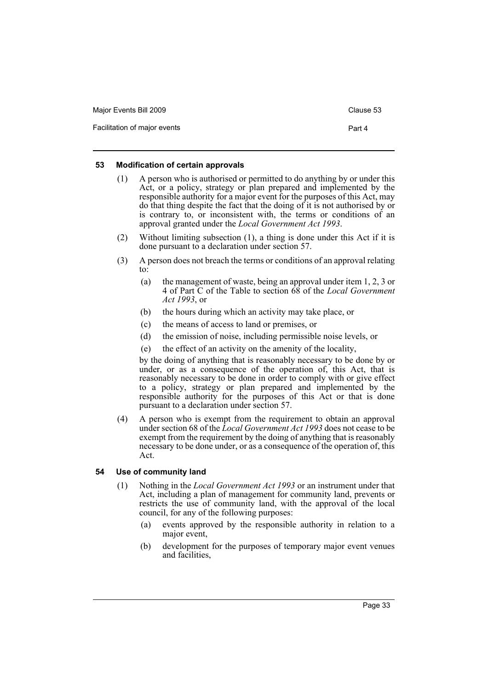| Major Events Bill 2009       | Clause 53 |
|------------------------------|-----------|
| Facilitation of major events | Part 4    |

### <span id="page-36-0"></span>**53 Modification of certain approvals**

- (1) A person who is authorised or permitted to do anything by or under this Act, or a policy, strategy or plan prepared and implemented by the responsible authority for a major event for the purposes of this Act, may do that thing despite the fact that the doing of it is not authorised by or is contrary to, or inconsistent with, the terms or conditions of an approval granted under the *Local Government Act 1993*.
- (2) Without limiting subsection (1), a thing is done under this Act if it is done pursuant to a declaration under section 57.
- (3) A person does not breach the terms or conditions of an approval relating to:
	- (a) the management of waste, being an approval under item 1, 2, 3 or 4 of Part C of the Table to section 68 of the *Local Government Act 1993*, or
	- (b) the hours during which an activity may take place, or
	- (c) the means of access to land or premises, or
	- (d) the emission of noise, including permissible noise levels, or
	- (e) the effect of an activity on the amenity of the locality,

by the doing of anything that is reasonably necessary to be done by or under, or as a consequence of the operation of, this Act, that is reasonably necessary to be done in order to comply with or give effect to a policy, strategy or plan prepared and implemented by the responsible authority for the purposes of this Act or that is done pursuant to a declaration under section 57.

(4) A person who is exempt from the requirement to obtain an approval under section 68 of the *Local Government Act 1993* does not cease to be exempt from the requirement by the doing of anything that is reasonably necessary to be done under, or as a consequence of the operation of, this Act.

### <span id="page-36-1"></span>**54 Use of community land**

- (1) Nothing in the *Local Government Act 1993* or an instrument under that Act, including a plan of management for community land, prevents or restricts the use of community land, with the approval of the local council, for any of the following purposes:
	- (a) events approved by the responsible authority in relation to a major event,
	- (b) development for the purposes of temporary major event venues and facilities,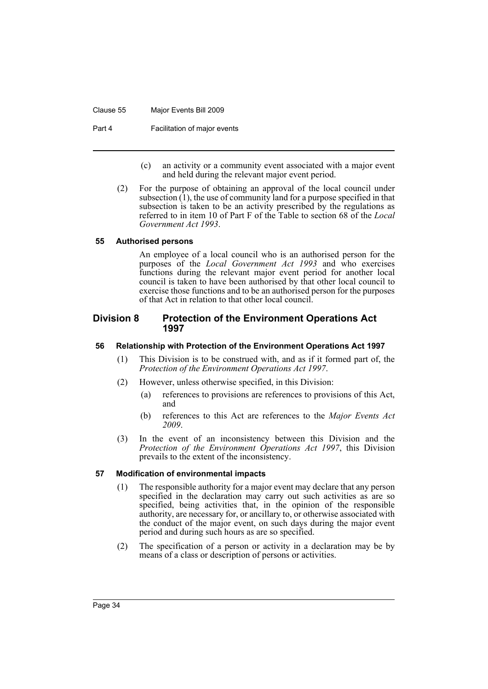Clause 55 Major Events Bill 2009

Part 4 **Facilitation of major events** 

- (c) an activity or a community event associated with a major event and held during the relevant major event period.
- (2) For the purpose of obtaining an approval of the local council under subsection  $(1)$ , the use of community land for a purpose specified in that subsection is taken to be an activity prescribed by the regulations as referred to in item 10 of Part F of the Table to section 68 of the *Local Government Act 1993*.

### <span id="page-37-0"></span>**55 Authorised persons**

An employee of a local council who is an authorised person for the purposes of the *Local Government Act 1993* and who exercises functions during the relevant major event period for another local council is taken to have been authorised by that other local council to exercise those functions and to be an authorised person for the purposes of that Act in relation to that other local council.

### <span id="page-37-1"></span>**Division 8 Protection of the Environment Operations Act 1997**

#### <span id="page-37-2"></span>**56 Relationship with Protection of the Environment Operations Act 1997**

- (1) This Division is to be construed with, and as if it formed part of, the *Protection of the Environment Operations Act 1997*.
- (2) However, unless otherwise specified, in this Division:
	- (a) references to provisions are references to provisions of this Act, and
	- (b) references to this Act are references to the *Major Events Act 2009*.
- (3) In the event of an inconsistency between this Division and the *Protection of the Environment Operations Act 1997*, this Division prevails to the extent of the inconsistency.

### <span id="page-37-3"></span>**57 Modification of environmental impacts**

- (1) The responsible authority for a major event may declare that any person specified in the declaration may carry out such activities as are so specified, being activities that, in the opinion of the responsible authority, are necessary for, or ancillary to, or otherwise associated with the conduct of the major event, on such days during the major event period and during such hours as are so specified.
- (2) The specification of a person or activity in a declaration may be by means of a class or description of persons or activities.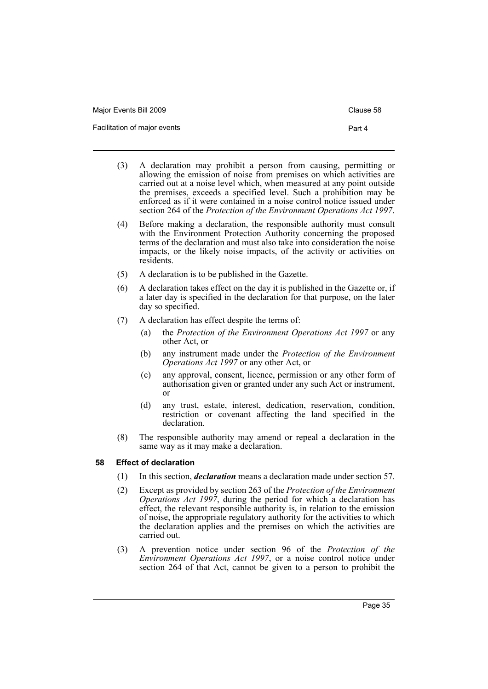| Major Events Bill 2009       | Clause 58 |
|------------------------------|-----------|
| Facilitation of major events | Part 4    |

- (3) A declaration may prohibit a person from causing, permitting or allowing the emission of noise from premises on which activities are carried out at a noise level which, when measured at any point outside the premises, exceeds a specified level. Such a prohibition may be enforced as if it were contained in a noise control notice issued under section 264 of the *Protection of the Environment Operations Act 1997*.
- (4) Before making a declaration, the responsible authority must consult with the Environment Protection Authority concerning the proposed terms of the declaration and must also take into consideration the noise impacts, or the likely noise impacts, of the activity or activities on residents.
- (5) A declaration is to be published in the Gazette.
- (6) A declaration takes effect on the day it is published in the Gazette or, if a later day is specified in the declaration for that purpose, on the later day so specified.
- (7) A declaration has effect despite the terms of:
	- (a) the *Protection of the Environment Operations Act 1997* or any other Act, or
	- (b) any instrument made under the *Protection of the Environment Operations Act 1997* or any other Act, or
	- (c) any approval, consent, licence, permission or any other form of authorisation given or granted under any such Act or instrument, or
	- (d) any trust, estate, interest, dedication, reservation, condition, restriction or covenant affecting the land specified in the declaration.
- (8) The responsible authority may amend or repeal a declaration in the same way as it may make a declaration.

### <span id="page-38-0"></span>**58 Effect of declaration**

- (1) In this section, *declaration* means a declaration made under section 57.
- (2) Except as provided by section 263 of the *Protection of the Environment Operations Act 1997*, during the period for which a declaration has effect, the relevant responsible authority is, in relation to the emission of noise, the appropriate regulatory authority for the activities to which the declaration applies and the premises on which the activities are carried out.
- (3) A prevention notice under section 96 of the *Protection of the Environment Operations Act 1997*, or a noise control notice under section 264 of that Act, cannot be given to a person to prohibit the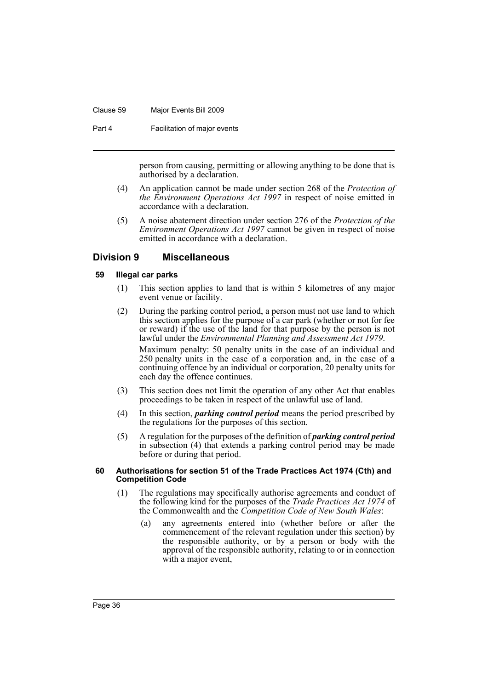#### Clause 59 Major Events Bill 2009

Part 4 **Facilitation of major events** 

person from causing, permitting or allowing anything to be done that is authorised by a declaration.

- (4) An application cannot be made under section 268 of the *Protection of the Environment Operations Act 1997* in respect of noise emitted in accordance with a declaration.
- (5) A noise abatement direction under section 276 of the *Protection of the Environment Operations Act 1997* cannot be given in respect of noise emitted in accordance with a declaration.

### <span id="page-39-0"></span>**Division 9 Miscellaneous**

### <span id="page-39-1"></span>**59 Illegal car parks**

- (1) This section applies to land that is within 5 kilometres of any major event venue or facility.
- (2) During the parking control period, a person must not use land to which this section applies for the purpose of a car park (whether or not for fee or reward) if the use of the land for that purpose by the person is not lawful under the *Environmental Planning and Assessment Act 1979*. Maximum penalty: 50 penalty units in the case of an individual and 250 penalty units in the case of a corporation and, in the case of a continuing offence by an individual or corporation, 20 penalty units for each day the offence continues.
- (3) This section does not limit the operation of any other Act that enables proceedings to be taken in respect of the unlawful use of land.
- (4) In this section, *parking control period* means the period prescribed by the regulations for the purposes of this section.
- (5) A regulation for the purposes of the definition of *parking control period* in subsection (4) that extends a parking control period may be made before or during that period.

#### <span id="page-39-2"></span>**60 Authorisations for section 51 of the Trade Practices Act 1974 (Cth) and Competition Code**

- (1) The regulations may specifically authorise agreements and conduct of the following kind for the purposes of the *Trade Practices Act 1974* of the Commonwealth and the *Competition Code of New South Wales*:
	- (a) any agreements entered into (whether before or after the commencement of the relevant regulation under this section) by the responsible authority, or by a person or body with the approval of the responsible authority, relating to or in connection with a major event,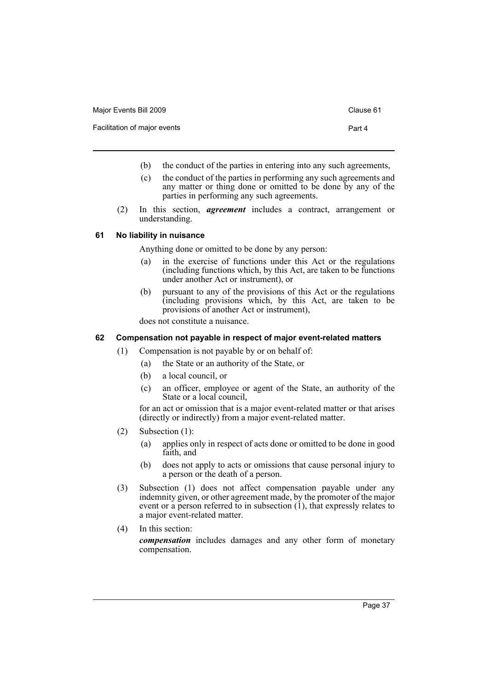| Major Events Bill 2009       | Clause 61 |
|------------------------------|-----------|
| Facilitation of major events | Part 4    |

- (b) the conduct of the parties in entering into any such agreements,
- (c) the conduct of the parties in performing any such agreements and any matter or thing done or omitted to be done by any of the parties in performing any such agreements.
- (2) In this section, *agreement* includes a contract, arrangement or understanding.

### <span id="page-40-0"></span>**61 No liability in nuisance**

Anything done or omitted to be done by any person:

- (a) in the exercise of functions under this Act or the regulations (including functions which, by this Act, are taken to be functions under another Act or instrument), or
- (b) pursuant to any of the provisions of this Act or the regulations (including provisions which, by this Act, are taken to be provisions of another Act or instrument),

does not constitute a nuisance.

### <span id="page-40-1"></span>**62 Compensation not payable in respect of major event-related matters**

- (1) Compensation is not payable by or on behalf of:
	- (a) the State or an authority of the State, or
	- (b) a local council, or
	- (c) an officer, employee or agent of the State, an authority of the State or a local council,

for an act or omission that is a major event-related matter or that arises (directly or indirectly) from a major event-related matter.

- (2) Subsection (1):
	- (a) applies only in respect of acts done or omitted to be done in good faith, and
	- (b) does not apply to acts or omissions that cause personal injury to a person or the death of a person.
- (3) Subsection (1) does not affect compensation payable under any indemnity given, or other agreement made, by the promoter of the major event or a person referred to in subsection (1), that expressly relates to a major event-related matter.
- (4) In this section: *compensation* includes damages and any other form of monetary compensation.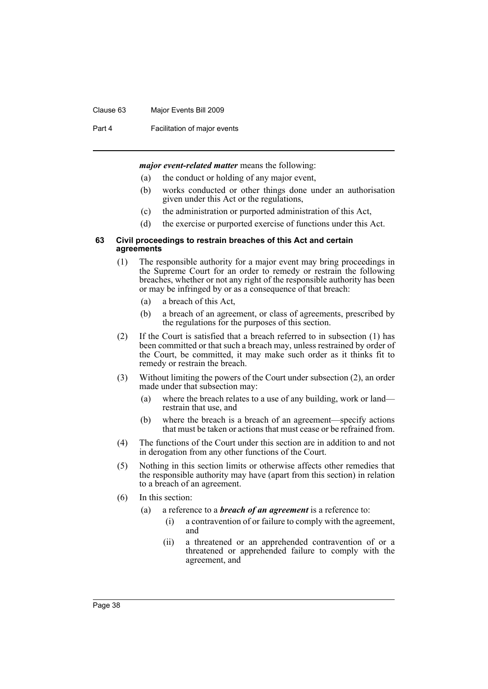#### Clause 63 Major Events Bill 2009

Part 4 **Facilitation of major events** 

*major event-related matter* means the following:

- (a) the conduct or holding of any major event,
- (b) works conducted or other things done under an authorisation given under this Act or the regulations,
- (c) the administration or purported administration of this Act,
- (d) the exercise or purported exercise of functions under this Act.

#### <span id="page-41-0"></span>**63 Civil proceedings to restrain breaches of this Act and certain agreements**

- (1) The responsible authority for a major event may bring proceedings in the Supreme Court for an order to remedy or restrain the following breaches, whether or not any right of the responsible authority has been or may be infringed by or as a consequence of that breach:
	- (a) a breach of this Act,
	- (b) a breach of an agreement, or class of agreements, prescribed by the regulations for the purposes of this section.
- (2) If the Court is satisfied that a breach referred to in subsection (1) has been committed or that such a breach may, unless restrained by order of the Court, be committed, it may make such order as it thinks fit to remedy or restrain the breach.
- (3) Without limiting the powers of the Court under subsection (2), an order made under that subsection may:
	- (a) where the breach relates to a use of any building, work or land restrain that use, and
	- (b) where the breach is a breach of an agreement—specify actions that must be taken or actions that must cease or be refrained from.
- (4) The functions of the Court under this section are in addition to and not in derogation from any other functions of the Court.
- (5) Nothing in this section limits or otherwise affects other remedies that the responsible authority may have (apart from this section) in relation to a breach of an agreement.
- (6) In this section:
	- (a) a reference to a *breach of an agreement* is a reference to:
		- (i) a contravention of or failure to comply with the agreement, and
		- (ii) a threatened or an apprehended contravention of or a threatened or apprehended failure to comply with the agreement, and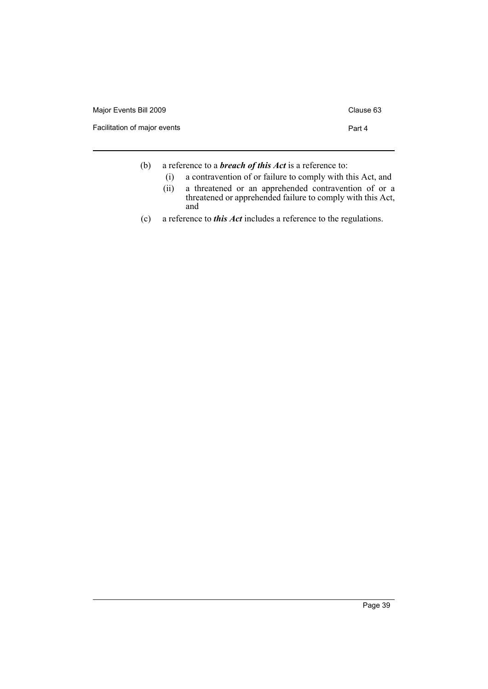| Major Events Bill 2009       | Clause 63 |
|------------------------------|-----------|
| Facilitation of major events | Part 4    |
|                              |           |

- (b) a reference to a *breach of this Act* is a reference to:
	- (i) a contravention of or failure to comply with this Act, and
	- (ii) a threatened or an apprehended contravention of or a threatened or apprehended failure to comply with this Act, and
- (c) a reference to *this Act* includes a reference to the regulations.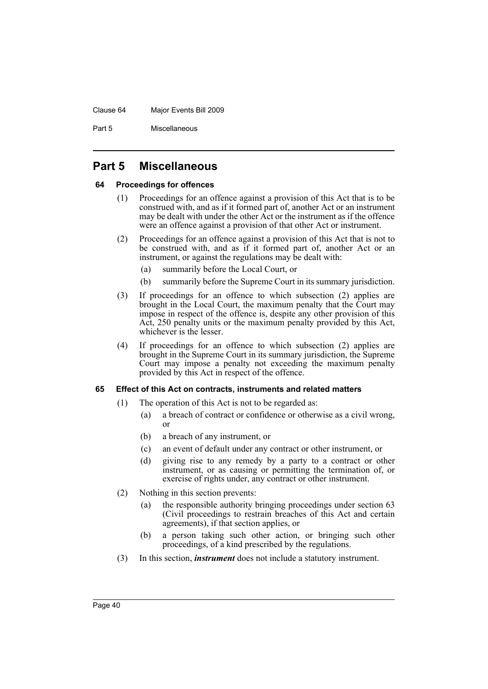#### Clause 64 Major Events Bill 2009

Part 5 Miscellaneous

### <span id="page-43-0"></span>**Part 5 Miscellaneous**

### <span id="page-43-1"></span>**64 Proceedings for offences**

- (1) Proceedings for an offence against a provision of this Act that is to be construed with, and as if it formed part of, another Act or an instrument may be dealt with under the other Act or the instrument as if the offence were an offence against a provision of that other Act or instrument.
- (2) Proceedings for an offence against a provision of this Act that is not to be construed with, and as if it formed part of, another Act or an instrument, or against the regulations may be dealt with:
	- (a) summarily before the Local Court, or
	- (b) summarily before the Supreme Court in its summary jurisdiction.
- (3) If proceedings for an offence to which subsection (2) applies are brought in the Local Court, the maximum penalty that the Court may impose in respect of the offence is, despite any other provision of this Act, 250 penalty units or the maximum penalty provided by this Act, whichever is the lesser.
- (4) If proceedings for an offence to which subsection (2) applies are brought in the Supreme Court in its summary jurisdiction, the Supreme Court may impose a penalty not exceeding the maximum penalty provided by this Act in respect of the offence.

### <span id="page-43-2"></span>**65 Effect of this Act on contracts, instruments and related matters**

- (1) The operation of this Act is not to be regarded as:
	- (a) a breach of contract or confidence or otherwise as a civil wrong, or
	- (b) a breach of any instrument, or
	- (c) an event of default under any contract or other instrument, or
	- (d) giving rise to any remedy by a party to a contract or other instrument, or as causing or permitting the termination of, or exercise of rights under, any contract or other instrument.
- (2) Nothing in this section prevents:
	- (a) the responsible authority bringing proceedings under section 63 (Civil proceedings to restrain breaches of this Act and certain agreements), if that section applies, or
	- (b) a person taking such other action, or bringing such other proceedings, of a kind prescribed by the regulations.
- (3) In this section, *instrument* does not include a statutory instrument.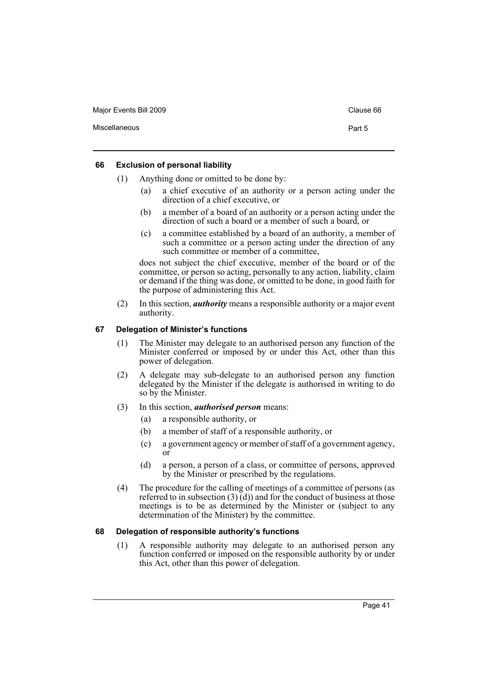Major Events Bill 2009 Clause 66

Miscellaneous **Part 5** 

#### <span id="page-44-0"></span>**66 Exclusion of personal liability**

- (1) Anything done or omitted to be done by:
	- (a) a chief executive of an authority or a person acting under the direction of a chief executive, or
	- (b) a member of a board of an authority or a person acting under the direction of such a board or a member of such a board, or
	- (c) a committee established by a board of an authority, a member of such a committee or a person acting under the direction of any such committee or member of a committee,

does not subject the chief executive, member of the board or of the committee, or person so acting, personally to any action, liability, claim or demand if the thing was done, or omitted to be done, in good faith for the purpose of administering this Act.

(2) In this section, *authority* means a responsible authority or a major event authority.

### <span id="page-44-1"></span>**67 Delegation of Minister's functions**

- (1) The Minister may delegate to an authorised person any function of the Minister conferred or imposed by or under this Act, other than this power of delegation.
- (2) A delegate may sub-delegate to an authorised person any function delegated by the Minister if the delegate is authorised in writing to do so by the Minister.
- (3) In this section, *authorised person* means:
	- (a) a responsible authority, or
	- (b) a member of staff of a responsible authority, or
	- (c) a government agency or member of staff of a government agency, or
	- (d) a person, a person of a class, or committee of persons, approved by the Minister or prescribed by the regulations.
- (4) The procedure for the calling of meetings of a committee of persons (as referred to in subsection (3) $\vec{a}$ ) and for the conduct of business at those meetings is to be as determined by the Minister or (subject to any determination of the Minister) by the committee.

#### <span id="page-44-2"></span>**68 Delegation of responsible authority's functions**

(1) A responsible authority may delegate to an authorised person any function conferred or imposed on the responsible authority by or under this Act, other than this power of delegation.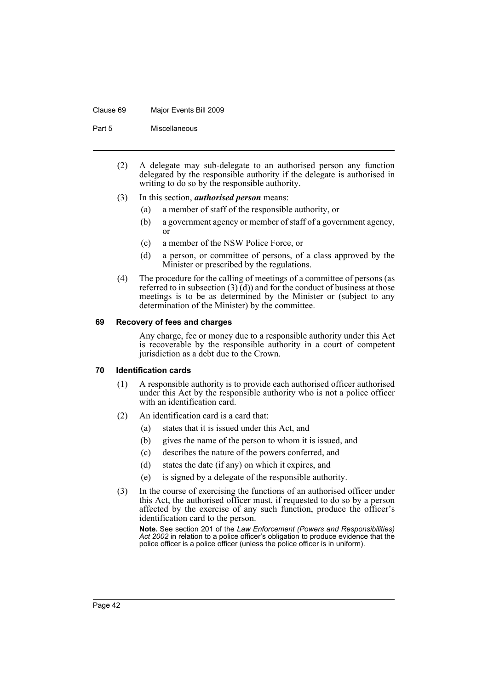#### Clause 69 Major Events Bill 2009

Part 5 Miscellaneous

- (2) A delegate may sub-delegate to an authorised person any function delegated by the responsible authority if the delegate is authorised in writing to do so by the responsible authority.
- (3) In this section, *authorised person* means:
	- (a) a member of staff of the responsible authority, or
	- (b) a government agency or member of staff of a government agency, or
	- (c) a member of the NSW Police Force, or
	- (d) a person, or committee of persons, of a class approved by the Minister or prescribed by the regulations.
- (4) The procedure for the calling of meetings of a committee of persons (as referred to in subsection (3) (d)) and for the conduct of business at those meetings is to be as determined by the Minister or (subject to any determination of the Minister) by the committee.

#### <span id="page-45-0"></span>**69 Recovery of fees and charges**

Any charge, fee or money due to a responsible authority under this Act is recoverable by the responsible authority in a court of competent jurisdiction as a debt due to the Crown.

#### <span id="page-45-1"></span>**70 Identification cards**

- (1) A responsible authority is to provide each authorised officer authorised under this Act by the responsible authority who is not a police officer with an identification card.
- (2) An identification card is a card that:
	- (a) states that it is issued under this Act, and
	- (b) gives the name of the person to whom it is issued, and
	- (c) describes the nature of the powers conferred, and
	- (d) states the date (if any) on which it expires, and
	- (e) is signed by a delegate of the responsible authority.
- (3) In the course of exercising the functions of an authorised officer under this Act, the authorised officer must, if requested to do so by a person affected by the exercise of any such function, produce the officer's identification card to the person.

**Note.** See section 201 of the *Law Enforcement (Powers and Responsibilities) Act 2002* in relation to a police officer's obligation to produce evidence that the police officer is a police officer (unless the police officer is in uniform).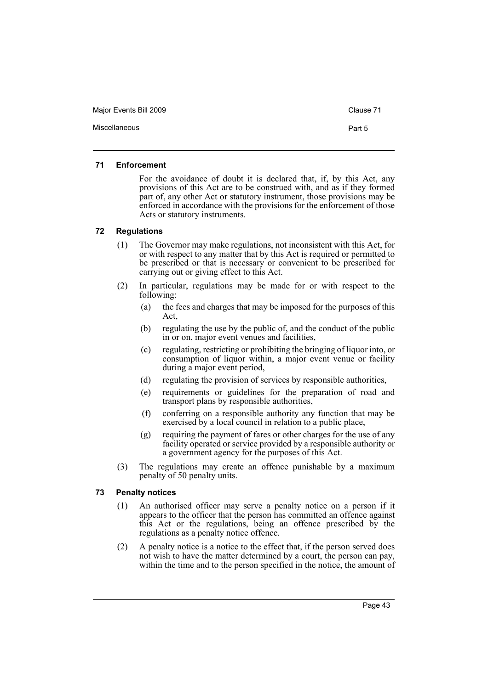Major Events Bill 2009 Clause 71

#### <span id="page-46-0"></span>**71 Enforcement**

For the avoidance of doubt it is declared that, if, by this Act, any provisions of this Act are to be construed with, and as if they formed part of, any other Act or statutory instrument, those provisions may be enforced in accordance with the provisions for the enforcement of those Acts or statutory instruments.

### <span id="page-46-1"></span>**72 Regulations**

- (1) The Governor may make regulations, not inconsistent with this Act, for or with respect to any matter that by this Act is required or permitted to be prescribed or that is necessary or convenient to be prescribed for carrying out or giving effect to this Act.
- (2) In particular, regulations may be made for or with respect to the following:
	- (a) the fees and charges that may be imposed for the purposes of this Act,
	- (b) regulating the use by the public of, and the conduct of the public in or on, major event venues and facilities,
	- (c) regulating, restricting or prohibiting the bringing of liquor into, or consumption of liquor within, a major event venue or facility during a major event period,
	- (d) regulating the provision of services by responsible authorities,
	- (e) requirements or guidelines for the preparation of road and transport plans by responsible authorities,
	- (f) conferring on a responsible authority any function that may be exercised by a local council in relation to a public place,
	- (g) requiring the payment of fares or other charges for the use of any facility operated or service provided by a responsible authority or a government agency for the purposes of this Act.
- (3) The regulations may create an offence punishable by a maximum penalty of 50 penalty units.

#### <span id="page-46-2"></span>**73 Penalty notices**

- (1) An authorised officer may serve a penalty notice on a person if it appears to the officer that the person has committed an offence against this Act or the regulations, being an offence prescribed by the regulations as a penalty notice offence.
- (2) A penalty notice is a notice to the effect that, if the person served does not wish to have the matter determined by a court, the person can pay, within the time and to the person specified in the notice, the amount of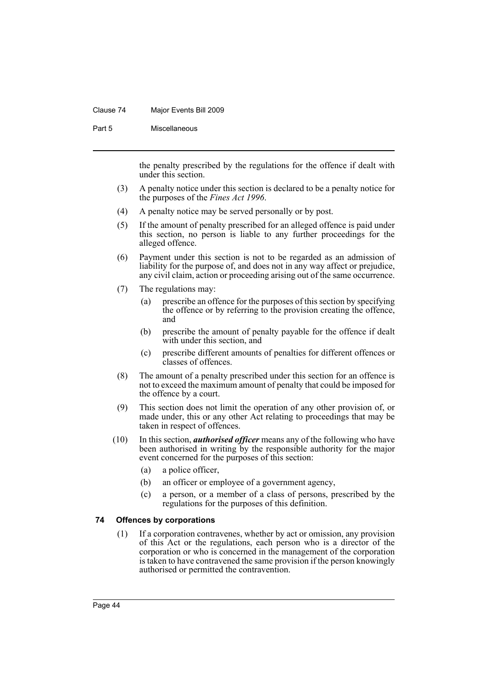#### Clause 74 Major Events Bill 2009

Part 5 Miscellaneous

the penalty prescribed by the regulations for the offence if dealt with under this section.

- (3) A penalty notice under this section is declared to be a penalty notice for the purposes of the *Fines Act 1996*.
- (4) A penalty notice may be served personally or by post.
- (5) If the amount of penalty prescribed for an alleged offence is paid under this section, no person is liable to any further proceedings for the alleged offence.
- (6) Payment under this section is not to be regarded as an admission of liability for the purpose of, and does not in any way affect or prejudice, any civil claim, action or proceeding arising out of the same occurrence.
- (7) The regulations may:
	- (a) prescribe an offence for the purposes of this section by specifying the offence or by referring to the provision creating the offence, and
	- (b) prescribe the amount of penalty payable for the offence if dealt with under this section, and
	- (c) prescribe different amounts of penalties for different offences or classes of offences.
- (8) The amount of a penalty prescribed under this section for an offence is not to exceed the maximum amount of penalty that could be imposed for the offence by a court.
- (9) This section does not limit the operation of any other provision of, or made under, this or any other Act relating to proceedings that may be taken in respect of offences.
- (10) In this section, *authorised officer* means any of the following who have been authorised in writing by the responsible authority for the major event concerned for the purposes of this section:
	- (a) a police officer,
	- (b) an officer or employee of a government agency,
	- (c) a person, or a member of a class of persons, prescribed by the regulations for the purposes of this definition.

### <span id="page-47-0"></span>**74 Offences by corporations**

(1) If a corporation contravenes, whether by act or omission, any provision of this Act or the regulations, each person who is a director of the corporation or who is concerned in the management of the corporation is taken to have contravened the same provision if the person knowingly authorised or permitted the contravention.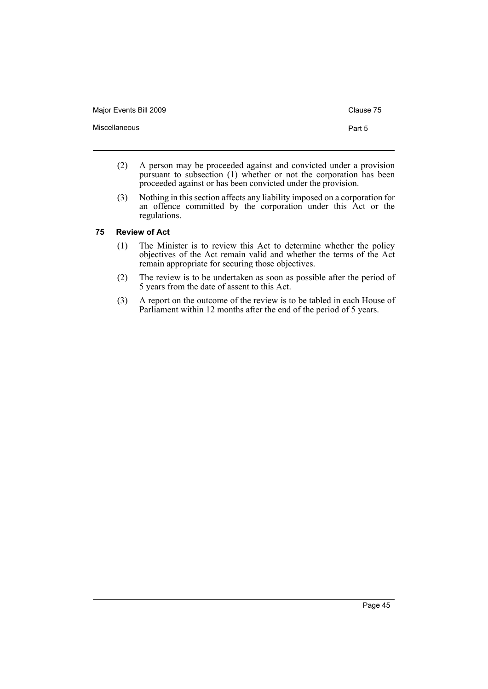Major Events Bill 2009 Clause 75

- (2) A person may be proceeded against and convicted under a provision pursuant to subsection (1) whether or not the corporation has been proceeded against or has been convicted under the provision.
- (3) Nothing in this section affects any liability imposed on a corporation for an offence committed by the corporation under this Act or the regulations.

#### <span id="page-48-0"></span>**75 Review of Act**

- (1) The Minister is to review this Act to determine whether the policy objectives of the Act remain valid and whether the terms of the Act remain appropriate for securing those objectives.
- (2) The review is to be undertaken as soon as possible after the period of 5 years from the date of assent to this Act.
- (3) A report on the outcome of the review is to be tabled in each House of Parliament within 12 months after the end of the period of 5 years.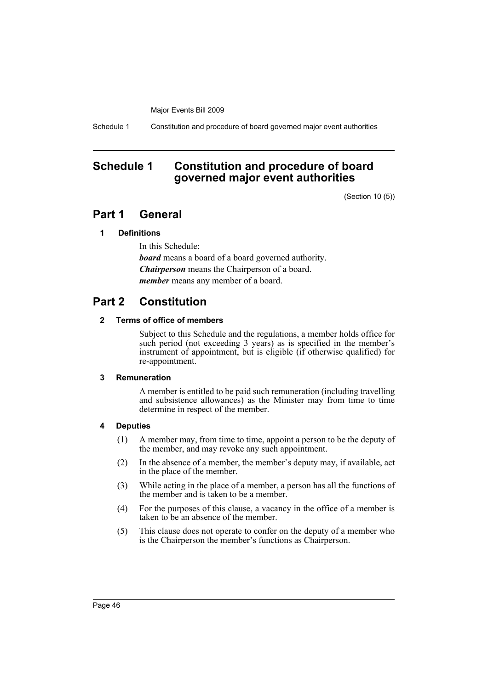Schedule 1 Constitution and procedure of board governed major event authorities

### <span id="page-49-0"></span>**Schedule 1 Constitution and procedure of board governed major event authorities**

(Section 10 (5))

### **Part 1 General**

### **1 Definitions**

In this Schedule: *board* means a board of a board governed authority. *Chairperson* means the Chairperson of a board. *member* means any member of a board.

## **Part 2 Constitution**

### **2 Terms of office of members**

Subject to this Schedule and the regulations, a member holds office for such period (not exceeding 3 years) as is specified in the member's instrument of appointment, but is eligible (if otherwise qualified) for re-appointment.

### **3 Remuneration**

A member is entitled to be paid such remuneration (including travelling and subsistence allowances) as the Minister may from time to time determine in respect of the member.

### **4 Deputies**

- (1) A member may, from time to time, appoint a person to be the deputy of the member, and may revoke any such appointment.
- (2) In the absence of a member, the member's deputy may, if available, act in the place of the member.
- (3) While acting in the place of a member, a person has all the functions of the member and is taken to be a member.
- (4) For the purposes of this clause, a vacancy in the office of a member is taken to be an absence of the member.
- (5) This clause does not operate to confer on the deputy of a member who is the Chairperson the member's functions as Chairperson.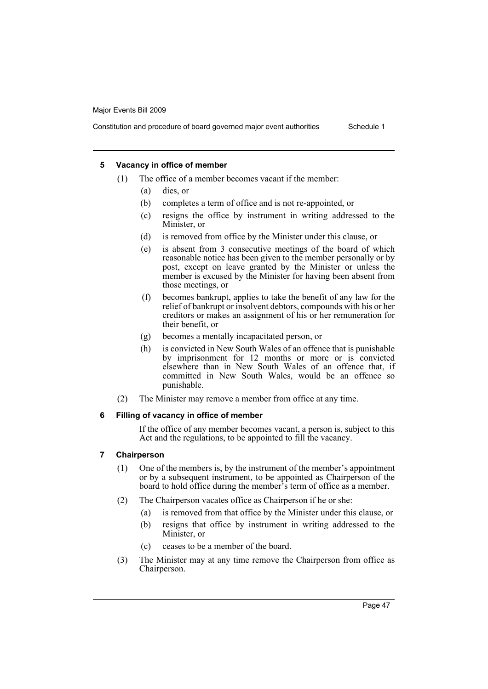Constitution and procedure of board governed major event authorities Schedule 1

### **5 Vacancy in office of member**

- (1) The office of a member becomes vacant if the member:
	- (a) dies, or
	- (b) completes a term of office and is not re-appointed, or
	- (c) resigns the office by instrument in writing addressed to the Minister, or
	- (d) is removed from office by the Minister under this clause, or
	- (e) is absent from 3 consecutive meetings of the board of which reasonable notice has been given to the member personally or by post, except on leave granted by the Minister or unless the member is excused by the Minister for having been absent from those meetings, or
	- (f) becomes bankrupt, applies to take the benefit of any law for the relief of bankrupt or insolvent debtors, compounds with his or her creditors or makes an assignment of his or her remuneration for their benefit, or
	- (g) becomes a mentally incapacitated person, or
	- (h) is convicted in New South Wales of an offence that is punishable by imprisonment for 12 months or more or is convicted elsewhere than in New South Wales of an offence that, if committed in New South Wales, would be an offence so punishable.
- (2) The Minister may remove a member from office at any time.

### **6 Filling of vacancy in office of member**

If the office of any member becomes vacant, a person is, subject to this Act and the regulations, to be appointed to fill the vacancy.

### **7 Chairperson**

- (1) One of the members is, by the instrument of the member's appointment or by a subsequent instrument, to be appointed as Chairperson of the board to hold office during the member's term of office as a member.
- (2) The Chairperson vacates office as Chairperson if he or she:
	- (a) is removed from that office by the Minister under this clause, or
	- (b) resigns that office by instrument in writing addressed to the Minister, or
	- (c) ceases to be a member of the board.
- (3) The Minister may at any time remove the Chairperson from office as Chairperson.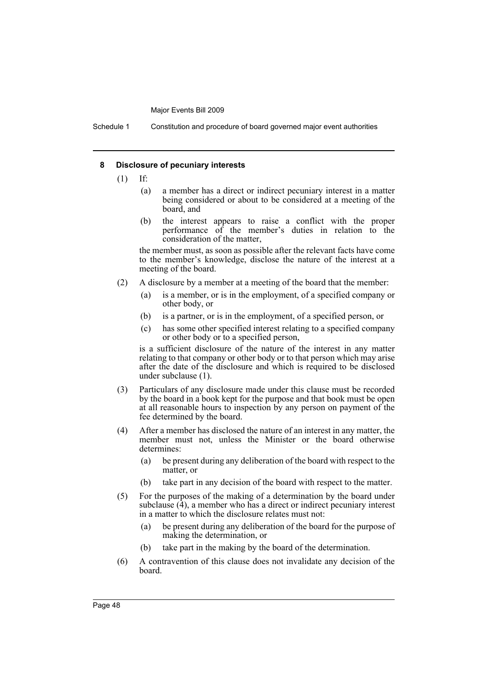Schedule 1 Constitution and procedure of board governed major event authorities

#### **8 Disclosure of pecuniary interests**

- (1) If:
	- (a) a member has a direct or indirect pecuniary interest in a matter being considered or about to be considered at a meeting of the board, and
	- (b) the interest appears to raise a conflict with the proper performance of the member's duties in relation to the consideration of the matter,

the member must, as soon as possible after the relevant facts have come to the member's knowledge, disclose the nature of the interest at a meeting of the board.

- (2) A disclosure by a member at a meeting of the board that the member:
	- (a) is a member, or is in the employment, of a specified company or other body, or
	- (b) is a partner, or is in the employment, of a specified person, or
	- (c) has some other specified interest relating to a specified company or other body or to a specified person,

is a sufficient disclosure of the nature of the interest in any matter relating to that company or other body or to that person which may arise after the date of the disclosure and which is required to be disclosed under subclause (1).

- (3) Particulars of any disclosure made under this clause must be recorded by the board in a book kept for the purpose and that book must be open at all reasonable hours to inspection by any person on payment of the fee determined by the board.
- (4) After a member has disclosed the nature of an interest in any matter, the member must not, unless the Minister or the board otherwise determines:
	- (a) be present during any deliberation of the board with respect to the matter, or
	- (b) take part in any decision of the board with respect to the matter.
- (5) For the purposes of the making of a determination by the board under subclause  $(4)$ , a member who has a direct or indirect pecuniary interest in a matter to which the disclosure relates must not:
	- (a) be present during any deliberation of the board for the purpose of making the determination, or
	- (b) take part in the making by the board of the determination.
- (6) A contravention of this clause does not invalidate any decision of the board.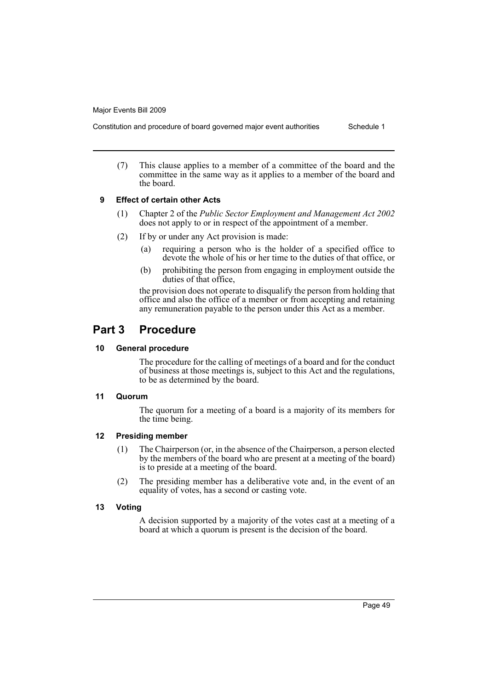Constitution and procedure of board governed major event authorities Schedule 1

- 
- (7) This clause applies to a member of a committee of the board and the committee in the same way as it applies to a member of the board and the board.

### **9 Effect of certain other Acts**

- (1) Chapter 2 of the *Public Sector Employment and Management Act 2002* does not apply to or in respect of the appointment of a member.
- (2) If by or under any Act provision is made:
	- (a) requiring a person who is the holder of a specified office to devote the whole of his or her time to the duties of that office, or
	- (b) prohibiting the person from engaging in employment outside the duties of that office,

the provision does not operate to disqualify the person from holding that office and also the office of a member or from accepting and retaining any remuneration payable to the person under this Act as a member.

### **Part 3 Procedure**

### **10 General procedure**

The procedure for the calling of meetings of a board and for the conduct of business at those meetings is, subject to this Act and the regulations, to be as determined by the board.

### **11 Quorum**

The quorum for a meeting of a board is a majority of its members for the time being.

### **12 Presiding member**

- (1) The Chairperson (or, in the absence of the Chairperson, a person elected by the members of the board who are present at a meeting of the board) is to preside at a meeting of the board.
- (2) The presiding member has a deliberative vote and, in the event of an equality of votes, has a second or casting vote.

### **13 Voting**

A decision supported by a majority of the votes cast at a meeting of a board at which a quorum is present is the decision of the board.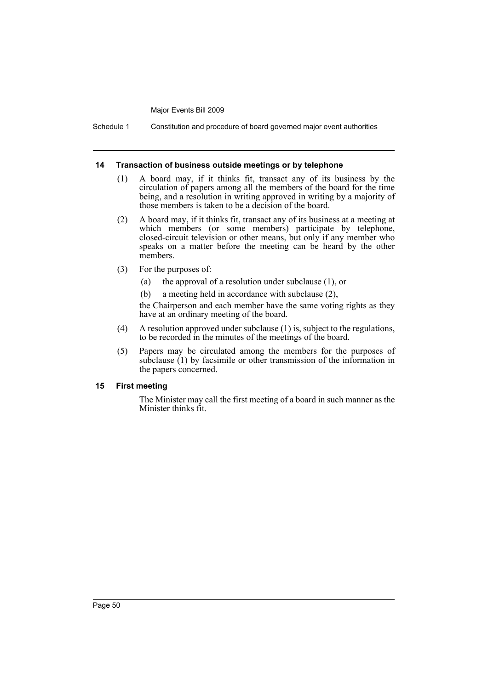Schedule 1 Constitution and procedure of board governed major event authorities

#### **14 Transaction of business outside meetings or by telephone**

- (1) A board may, if it thinks fit, transact any of its business by the circulation of papers among all the members of the board for the time being, and a resolution in writing approved in writing by a majority of those members is taken to be a decision of the board.
- (2) A board may, if it thinks fit, transact any of its business at a meeting at which members (or some members) participate by telephone, closed-circuit television or other means, but only if any member who speaks on a matter before the meeting can be heard by the other members.
- (3) For the purposes of:
	- (a) the approval of a resolution under subclause (1), or
	- (b) a meeting held in accordance with subclause (2),

the Chairperson and each member have the same voting rights as they have at an ordinary meeting of the board.

- (4) A resolution approved under subclause (1) is, subject to the regulations, to be recorded in the minutes of the meetings of the board.
- (5) Papers may be circulated among the members for the purposes of subclause (1) by facsimile or other transmission of the information in the papers concerned.

### **15 First meeting**

The Minister may call the first meeting of a board in such manner as the Minister thinks fit.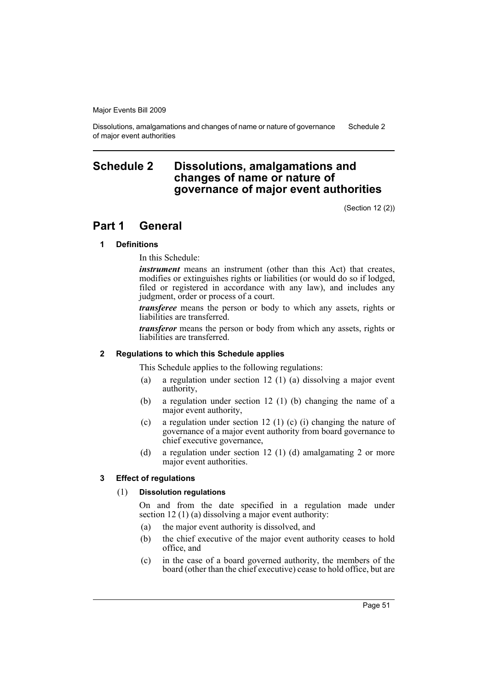Dissolutions, amalgamations and changes of name or nature of governance of major event authorities Schedule 2

### <span id="page-54-0"></span>**Schedule 2 Dissolutions, amalgamations and changes of name or nature of governance of major event authorities**

(Section 12 (2))

### **Part 1 General**

### **1 Definitions**

In this Schedule:

*instrument* means an instrument (other than this Act) that creates, modifies or extinguishes rights or liabilities (or would do so if lodged, filed or registered in accordance with any law), and includes any judgment, order or process of a court.

*transferee* means the person or body to which any assets, rights or liabilities are transferred.

*transferor* means the person or body from which any assets, rights or liabilities are transferred.

#### **2 Regulations to which this Schedule applies**

This Schedule applies to the following regulations:

- (a) a regulation under section 12 (1) (a) dissolving a major event authority,
- (b) a regulation under section 12 (1) (b) changing the name of a major event authority,
- (c) a regulation under section 12 (1) (c) (i) changing the nature of governance of a major event authority from board governance to chief executive governance,
- (d) a regulation under section 12 (1) (d) amalgamating 2 or more major event authorities.

### **3 Effect of regulations**

#### (1) **Dissolution regulations**

On and from the date specified in a regulation made under section 12 (1) (a) dissolving a major event authority:

- (a) the major event authority is dissolved, and
- (b) the chief executive of the major event authority ceases to hold office, and
- (c) in the case of a board governed authority, the members of the board (other than the chief executive) cease to hold office, but are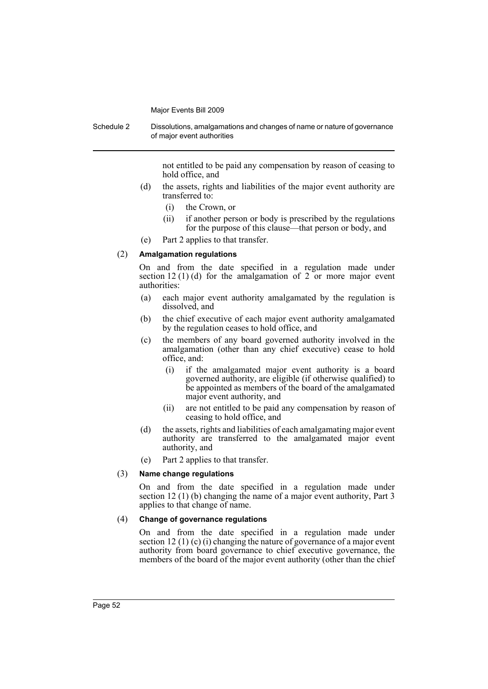Schedule 2 Dissolutions, amalgamations and changes of name or nature of governance of major event authorities

not entitled to be paid any compensation by reason of ceasing to hold office, and

- (d) the assets, rights and liabilities of the major event authority are transferred to:
	- (i) the Crown, or
	- (ii) if another person or body is prescribed by the regulations for the purpose of this clause—that person or body, and
- (e) Part 2 applies to that transfer.

### (2) **Amalgamation regulations**

On and from the date specified in a regulation made under section 12 (1) (d) for the amalgamation of 2 or more major event authorities:

- (a) each major event authority amalgamated by the regulation is dissolved, and
- (b) the chief executive of each major event authority amalgamated by the regulation ceases to hold office, and
- (c) the members of any board governed authority involved in the amalgamation (other than any chief executive) cease to hold office, and:
	- (i) if the amalgamated major event authority is a board governed authority, are eligible (if otherwise qualified) to be appointed as members of the board of the amalgamated major event authority, and
	- (ii) are not entitled to be paid any compensation by reason of ceasing to hold office, and
- (d) the assets, rights and liabilities of each amalgamating major event authority are transferred to the amalgamated major event authority, and
- (e) Part 2 applies to that transfer.

#### (3) **Name change regulations**

On and from the date specified in a regulation made under section 12 (1) (b) changing the name of a major event authority, Part 3 applies to that change of name.

#### (4) **Change of governance regulations**

On and from the date specified in a regulation made under section 12 (1) (c) (i) changing the nature of governance of a major event authority from board governance to chief executive governance, the members of the board of the major event authority (other than the chief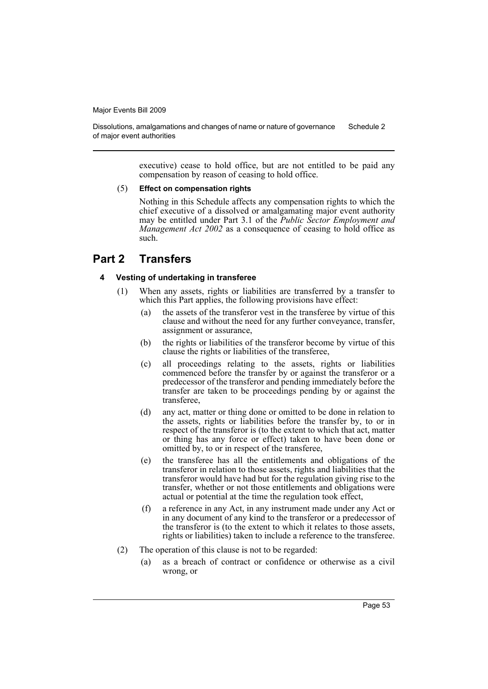Dissolutions, amalgamations and changes of name or nature of governance of major event authorities Schedule 2

> executive) cease to hold office, but are not entitled to be paid any compensation by reason of ceasing to hold office.

#### (5) **Effect on compensation rights**

Nothing in this Schedule affects any compensation rights to which the chief executive of a dissolved or amalgamating major event authority may be entitled under Part 3.1 of the *Public Sector Employment and Management Act 2002* as a consequence of ceasing to hold office as such.

### **Part 2 Transfers**

### **4 Vesting of undertaking in transferee**

- (1) When any assets, rights or liabilities are transferred by a transfer to which this Part applies, the following provisions have effect:
	- (a) the assets of the transferor vest in the transferee by virtue of this clause and without the need for any further conveyance, transfer, assignment or assurance,
	- (b) the rights or liabilities of the transferor become by virtue of this clause the rights or liabilities of the transferee,
	- (c) all proceedings relating to the assets, rights or liabilities commenced before the transfer by or against the transferor or a predecessor of the transferor and pending immediately before the transfer are taken to be proceedings pending by or against the transferee,
	- (d) any act, matter or thing done or omitted to be done in relation to the assets, rights or liabilities before the transfer by, to or in respect of the transferor is (to the extent to which that act, matter or thing has any force or effect) taken to have been done or omitted by, to or in respect of the transferee,
	- (e) the transferee has all the entitlements and obligations of the transferor in relation to those assets, rights and liabilities that the transferor would have had but for the regulation giving rise to the transfer, whether or not those entitlements and obligations were actual or potential at the time the regulation took effect,
	- (f) a reference in any Act, in any instrument made under any Act or in any document of any kind to the transferor or a predecessor of the transferor is (to the extent to which it relates to those assets, rights or liabilities) taken to include a reference to the transferee.
- (2) The operation of this clause is not to be regarded:
	- (a) as a breach of contract or confidence or otherwise as a civil wrong, or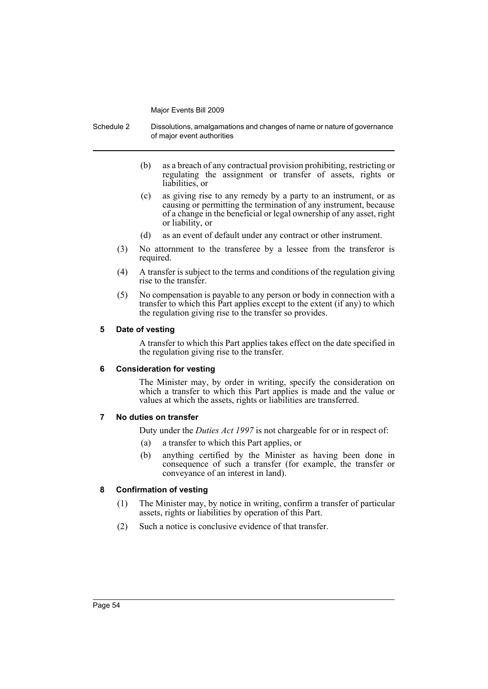Schedule 2 Dissolutions, amalgamations and changes of name or nature of governance of major event authorities

- (b) as a breach of any contractual provision prohibiting, restricting or regulating the assignment or transfer of assets, rights or liabilities, or
- (c) as giving rise to any remedy by a party to an instrument, or as causing or permitting the termination of any instrument, because of a change in the beneficial or legal ownership of any asset, right or liability, or
- (d) as an event of default under any contract or other instrument.
- (3) No attornment to the transferee by a lessee from the transferor is required.
- (4) A transfer is subject to the terms and conditions of the regulation giving rise to the transfer.
- (5) No compensation is payable to any person or body in connection with a transfer to which this Part applies except to the extent (if any) to which the regulation giving rise to the transfer so provides.

#### **5 Date of vesting**

A transfer to which this Part applies takes effect on the date specified in the regulation giving rise to the transfer.

#### **6 Consideration for vesting**

The Minister may, by order in writing, specify the consideration on which a transfer to which this Part applies is made and the value or values at which the assets, rights or liabilities are transferred.

### **7 No duties on transfer**

Duty under the *Duties Act 1997* is not chargeable for or in respect of:

- (a) a transfer to which this Part applies, or
- (b) anything certified by the Minister as having been done in consequence of such a transfer (for example, the transfer or conveyance of an interest in land).

### **8 Confirmation of vesting**

- (1) The Minister may, by notice in writing, confirm a transfer of particular assets, rights or liabilities by operation of this Part.
- (2) Such a notice is conclusive evidence of that transfer.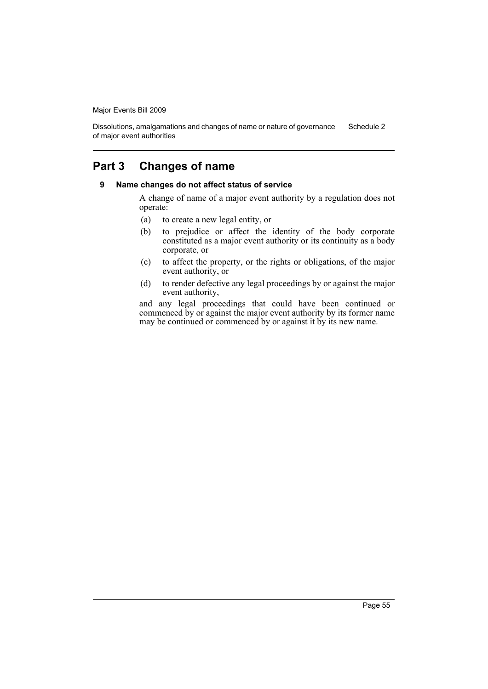Dissolutions, amalgamations and changes of name or nature of governance of major event authorities Schedule 2

### **Part 3 Changes of name**

### **9 Name changes do not affect status of service**

A change of name of a major event authority by a regulation does not operate:

- (a) to create a new legal entity, or
- (b) to prejudice or affect the identity of the body corporate constituted as a major event authority or its continuity as a body corporate, or
- (c) to affect the property, or the rights or obligations, of the major event authority, or
- (d) to render defective any legal proceedings by or against the major event authority,

and any legal proceedings that could have been continued or commenced by or against the major event authority by its former name may be continued or commenced by or against it by its new name.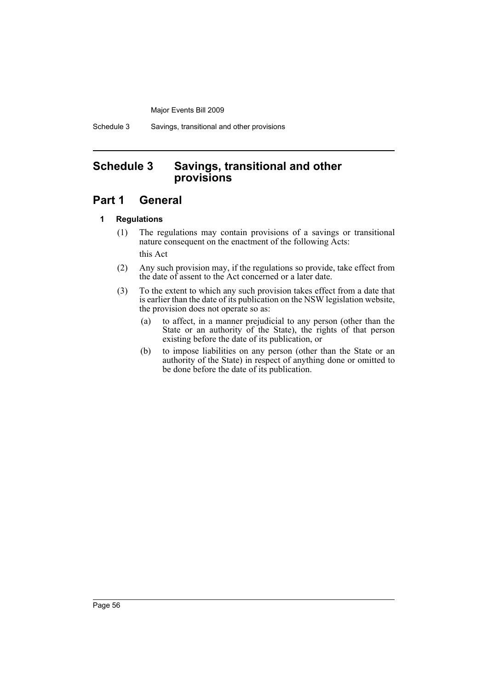Schedule 3 Savings, transitional and other provisions

### <span id="page-59-0"></span>**Schedule 3 Savings, transitional and other provisions**

### **Part 1 General**

### **1 Regulations**

- (1) The regulations may contain provisions of a savings or transitional nature consequent on the enactment of the following Acts: this Act
- (2) Any such provision may, if the regulations so provide, take effect from the date of assent to the Act concerned or a later date.
- (3) To the extent to which any such provision takes effect from a date that is earlier than the date of its publication on the NSW legislation website, the provision does not operate so as:
	- (a) to affect, in a manner prejudicial to any person (other than the State or an authority of the State), the rights of that person existing before the date of its publication, or
	- (b) to impose liabilities on any person (other than the State or an authority of the State) in respect of anything done or omitted to be done before the date of its publication.